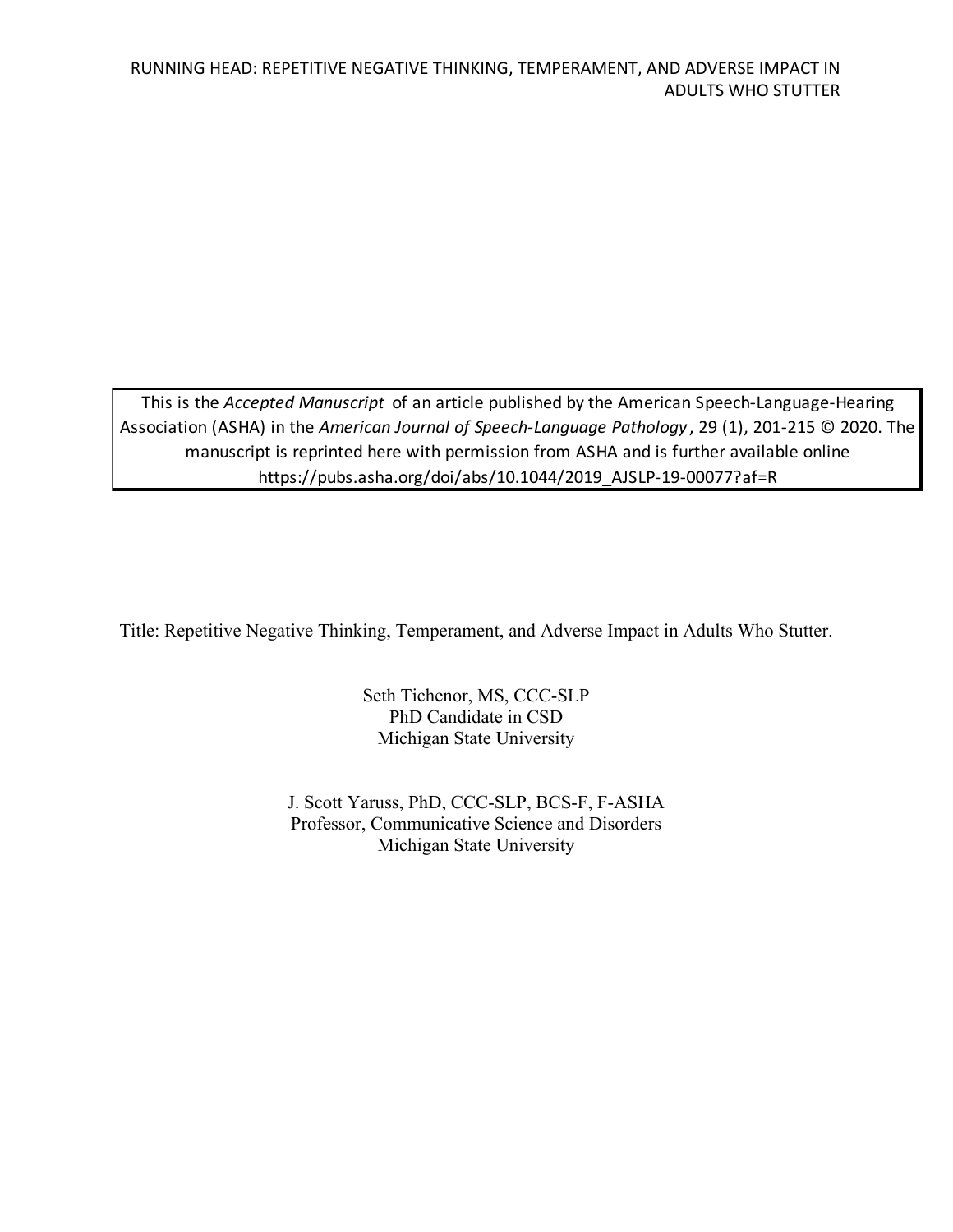This is the *Accepted Manuscript* of an article published by the American Speech-Language-Hearing Association (ASHA) in the *American Journal of Speech-Language Pathology* , 29 (1), 201-215 © 2020. The manuscript is reprinted here with permission from ASHA and is further available online https://pubs.asha.org/doi/abs/10.1044/2019\_AJSLP-19-00077?af=R

Title: Repetitive Negative Thinking, Temperament, and Adverse Impact in Adults Who Stutter.

Seth Tichenor, MS, CCC-SLP PhD Candidate in CSD Michigan State University

J. Scott Yaruss, PhD, CCC-SLP, BCS-F, F-ASHA Professor, Communicative Science and Disorders Michigan State University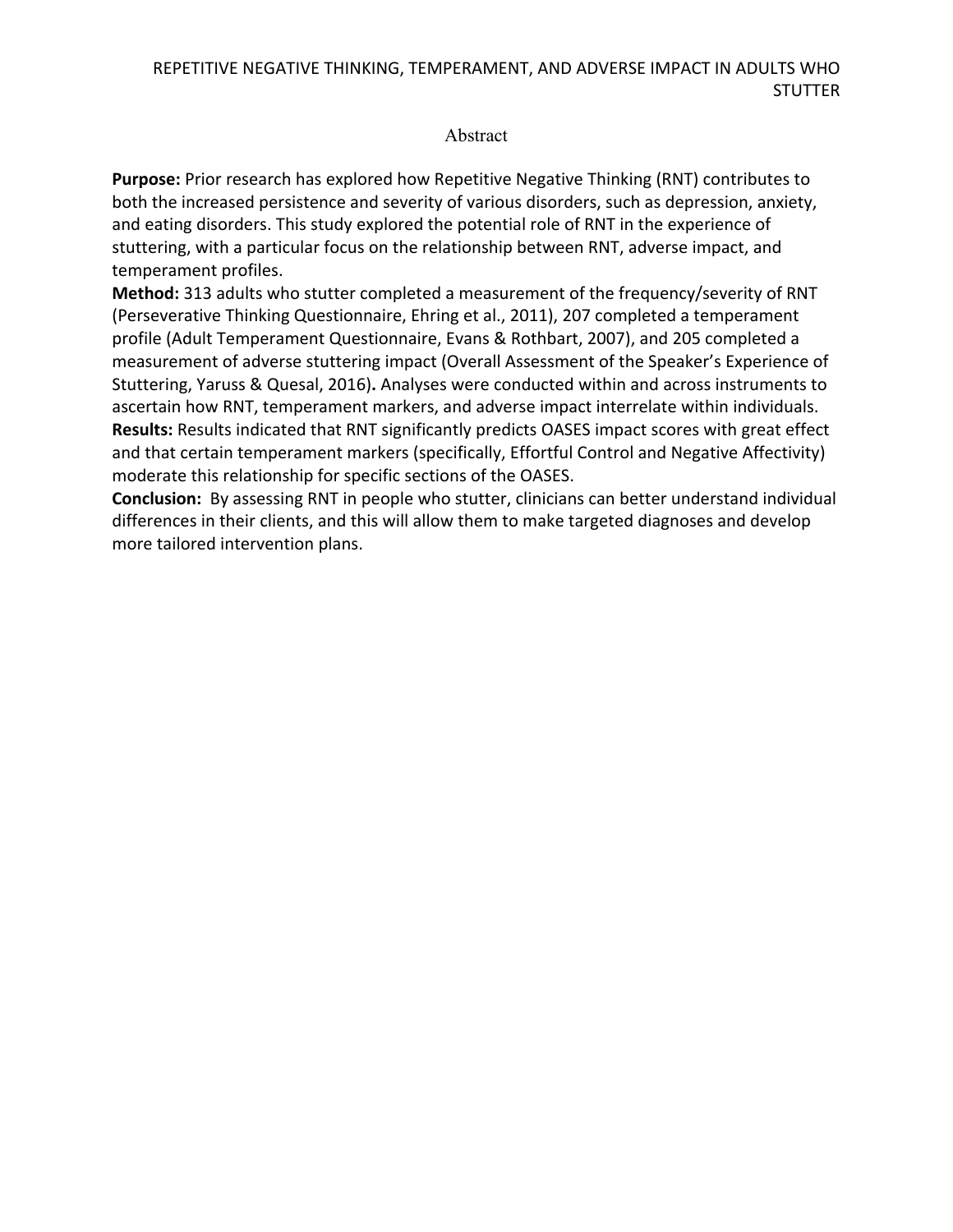### Abstract

**Purpose:** Prior research has explored how Repetitive Negative Thinking (RNT) contributes to both the increased persistence and severity of various disorders, such as depression, anxiety, and eating disorders. This study explored the potential role of RNT in the experience of stuttering, with a particular focus on the relationship between RNT, adverse impact, and temperament profiles.

**Method:** 313 adults who stutter completed a measurement of the frequency/severity of RNT (Perseverative Thinking Questionnaire, Ehring et al., 2011), 207 completed a temperament profile (Adult Temperament Questionnaire, Evans & Rothbart, 2007), and 205 completed a measurement of adverse stuttering impact (Overall Assessment of the Speaker's Experience of Stuttering, Yaruss & Quesal, 2016)**.** Analyses were conducted within and across instruments to ascertain how RNT, temperament markers, and adverse impact interrelate within individuals. **Results:** Results indicated that RNT significantly predicts OASES impact scores with great effect and that certain temperament markers (specifically, Effortful Control and Negative Affectivity) moderate this relationship for specific sections of the OASES.

**Conclusion:** By assessing RNT in people who stutter, clinicians can better understand individual differences in their clients, and this will allow them to make targeted diagnoses and develop more tailored intervention plans.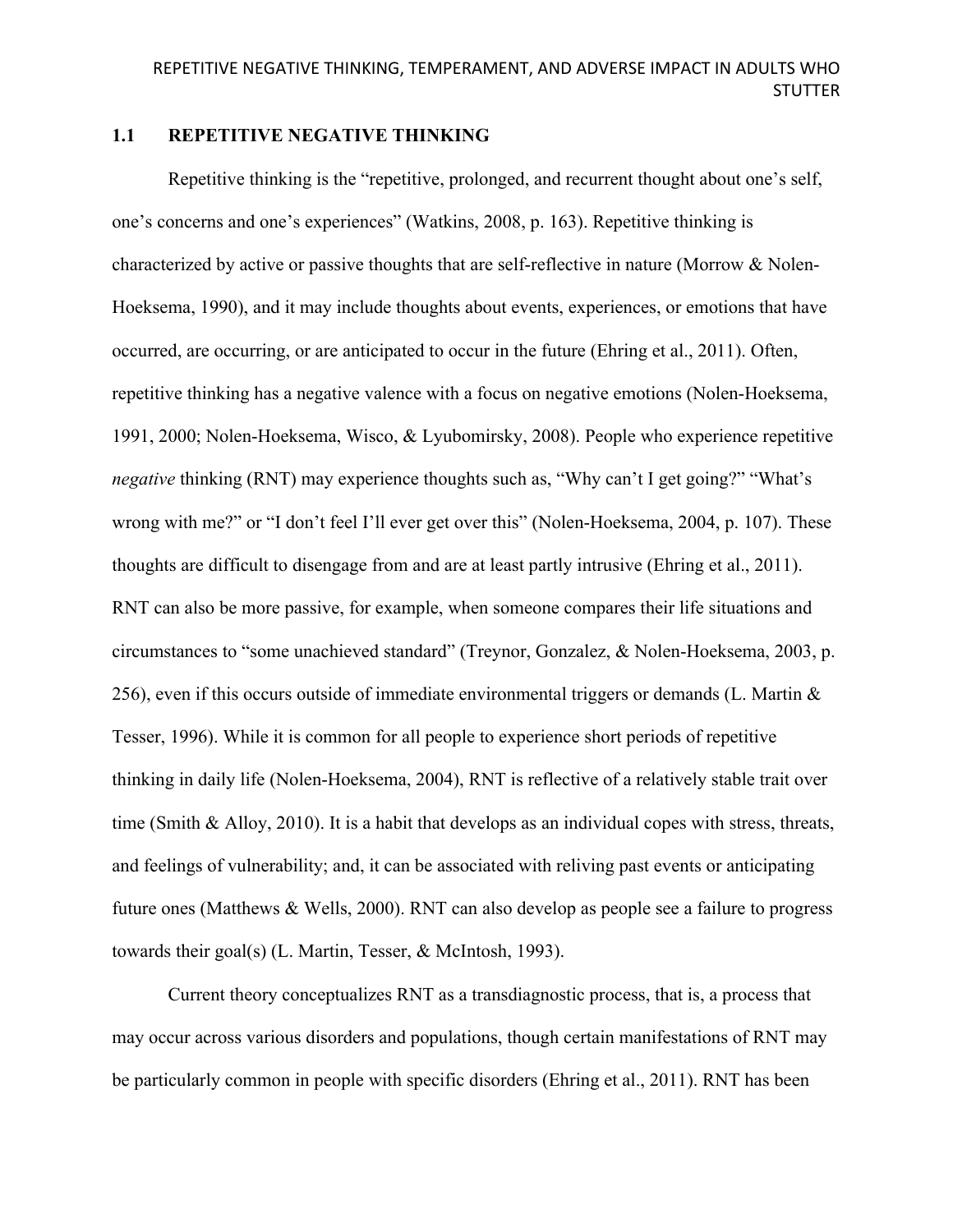### **1.1 REPETITIVE NEGATIVE THINKING**

Repetitive thinking is the "repetitive, prolonged, and recurrent thought about one's self, one's concerns and one's experiences" (Watkins, 2008, p. 163). Repetitive thinking is characterized by active or passive thoughts that are self-reflective in nature (Morrow & Nolen-Hoeksema, 1990), and it may include thoughts about events, experiences, or emotions that have occurred, are occurring, or are anticipated to occur in the future (Ehring et al., 2011). Often, repetitive thinking has a negative valence with a focus on negative emotions (Nolen-Hoeksema, 1991, 2000; Nolen-Hoeksema, Wisco, & Lyubomirsky, 2008). People who experience repetitive *negative* thinking (RNT) may experience thoughts such as, "Why can't I get going?" "What's wrong with me?" or "I don't feel I'll ever get over this" (Nolen-Hoeksema, 2004, p. 107). These thoughts are difficult to disengage from and are at least partly intrusive (Ehring et al., 2011). RNT can also be more passive, for example, when someone compares their life situations and circumstances to "some unachieved standard" (Treynor, Gonzalez, & Nolen-Hoeksema, 2003, p. 256), even if this occurs outside of immediate environmental triggers or demands (L. Martin & Tesser, 1996). While it is common for all people to experience short periods of repetitive thinking in daily life (Nolen-Hoeksema, 2004), RNT is reflective of a relatively stable trait over time (Smith & Alloy, 2010). It is a habit that develops as an individual copes with stress, threats, and feelings of vulnerability; and, it can be associated with reliving past events or anticipating future ones (Matthews & Wells, 2000). RNT can also develop as people see a failure to progress towards their goal(s) (L. Martin, Tesser, & McIntosh, 1993).

Current theory conceptualizes RNT as a transdiagnostic process, that is, a process that may occur across various disorders and populations, though certain manifestations of RNT may be particularly common in people with specific disorders (Ehring et al., 2011). RNT has been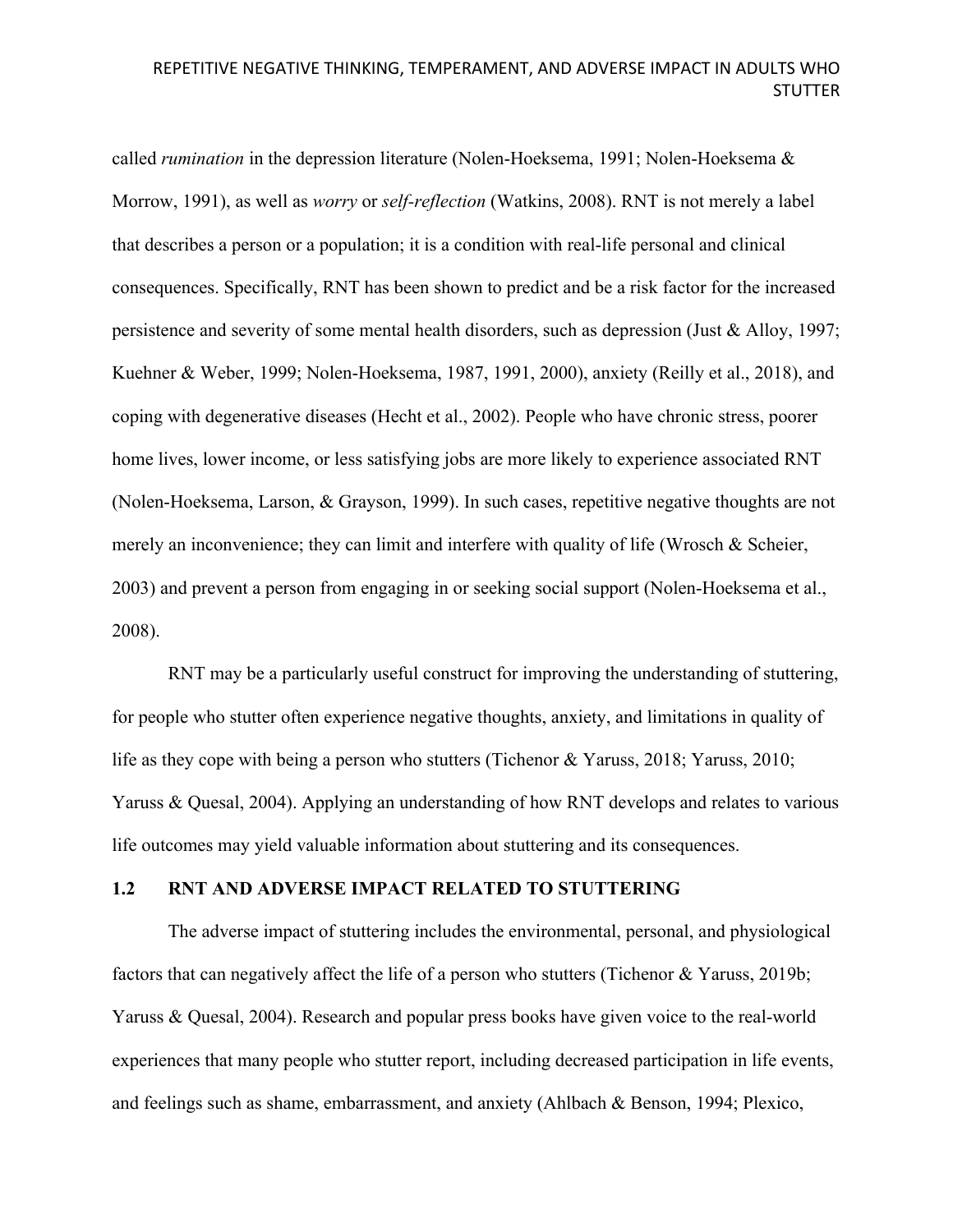called *rumination* in the depression literature (Nolen-Hoeksema, 1991; Nolen-Hoeksema & Morrow, 1991), as well as *worry* or *self-reflection* (Watkins, 2008). RNT is not merely a label that describes a person or a population; it is a condition with real-life personal and clinical consequences. Specifically, RNT has been shown to predict and be a risk factor for the increased persistence and severity of some mental health disorders, such as depression (Just & Alloy, 1997; Kuehner & Weber, 1999; Nolen-Hoeksema, 1987, 1991, 2000), anxiety (Reilly et al., 2018), and coping with degenerative diseases (Hecht et al., 2002). People who have chronic stress, poorer home lives, lower income, or less satisfying jobs are more likely to experience associated RNT (Nolen-Hoeksema, Larson, & Grayson, 1999). In such cases, repetitive negative thoughts are not merely an inconvenience; they can limit and interfere with quality of life (Wrosch & Scheier, 2003) and prevent a person from engaging in or seeking social support (Nolen-Hoeksema et al., 2008).

RNT may be a particularly useful construct for improving the understanding of stuttering, for people who stutter often experience negative thoughts, anxiety, and limitations in quality of life as they cope with being a person who stutters (Tichenor & Yaruss, 2018; Yaruss, 2010; Yaruss & Quesal, 2004). Applying an understanding of how RNT develops and relates to various life outcomes may yield valuable information about stuttering and its consequences.

### **1.2 RNT AND ADVERSE IMPACT RELATED TO STUTTERING**

The adverse impact of stuttering includes the environmental, personal, and physiological factors that can negatively affect the life of a person who stutters (Tichenor & Yaruss, 2019b; Yaruss & Quesal, 2004). Research and popular press books have given voice to the real-world experiences that many people who stutter report, including decreased participation in life events, and feelings such as shame, embarrassment, and anxiety (Ahlbach & Benson, 1994; Plexico,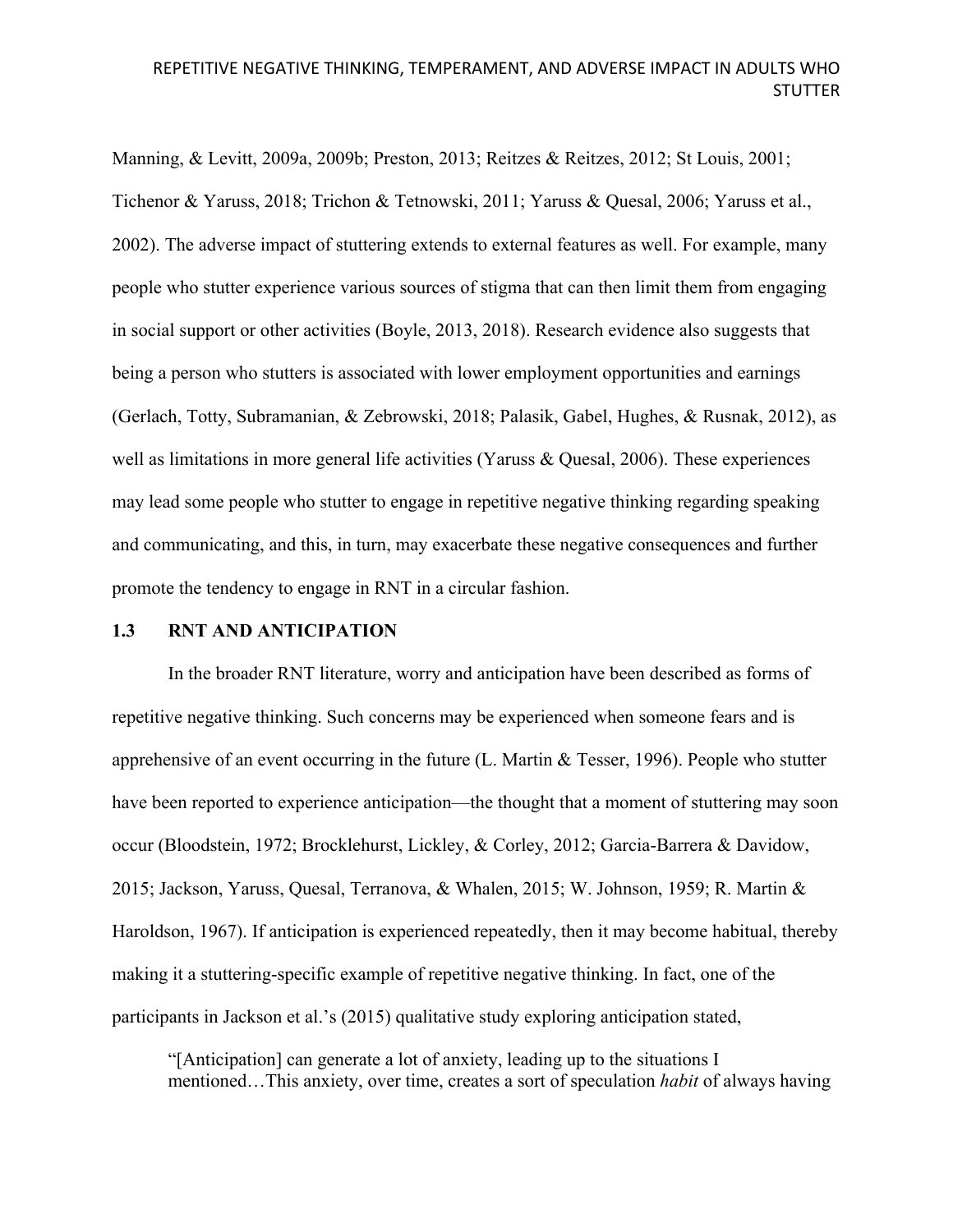Manning, & Levitt, 2009a, 2009b; Preston, 2013; Reitzes & Reitzes, 2012; St Louis, 2001; Tichenor & Yaruss, 2018; Trichon & Tetnowski, 2011; Yaruss & Quesal, 2006; Yaruss et al., 2002). The adverse impact of stuttering extends to external features as well. For example, many people who stutter experience various sources of stigma that can then limit them from engaging in social support or other activities (Boyle, 2013, 2018). Research evidence also suggests that being a person who stutters is associated with lower employment opportunities and earnings (Gerlach, Totty, Subramanian, & Zebrowski, 2018; Palasik, Gabel, Hughes, & Rusnak, 2012), as well as limitations in more general life activities (Yaruss & Quesal, 2006). These experiences may lead some people who stutter to engage in repetitive negative thinking regarding speaking and communicating, and this, in turn, may exacerbate these negative consequences and further promote the tendency to engage in RNT in a circular fashion.

#### **1.3 RNT AND ANTICIPATION**

In the broader RNT literature, worry and anticipation have been described as forms of repetitive negative thinking. Such concerns may be experienced when someone fears and is apprehensive of an event occurring in the future (L. Martin & Tesser, 1996). People who stutter have been reported to experience anticipation—the thought that a moment of stuttering may soon occur (Bloodstein, 1972; Brocklehurst, Lickley, & Corley, 2012; Garcia-Barrera & Davidow, 2015; Jackson, Yaruss, Quesal, Terranova, & Whalen, 2015; W. Johnson, 1959; R. Martin & Haroldson, 1967). If anticipation is experienced repeatedly, then it may become habitual, thereby making it a stuttering-specific example of repetitive negative thinking. In fact, one of the participants in Jackson et al.'s (2015) qualitative study exploring anticipation stated,

"[Anticipation] can generate a lot of anxiety, leading up to the situations I mentioned…This anxiety, over time, creates a sort of speculation *habit* of always having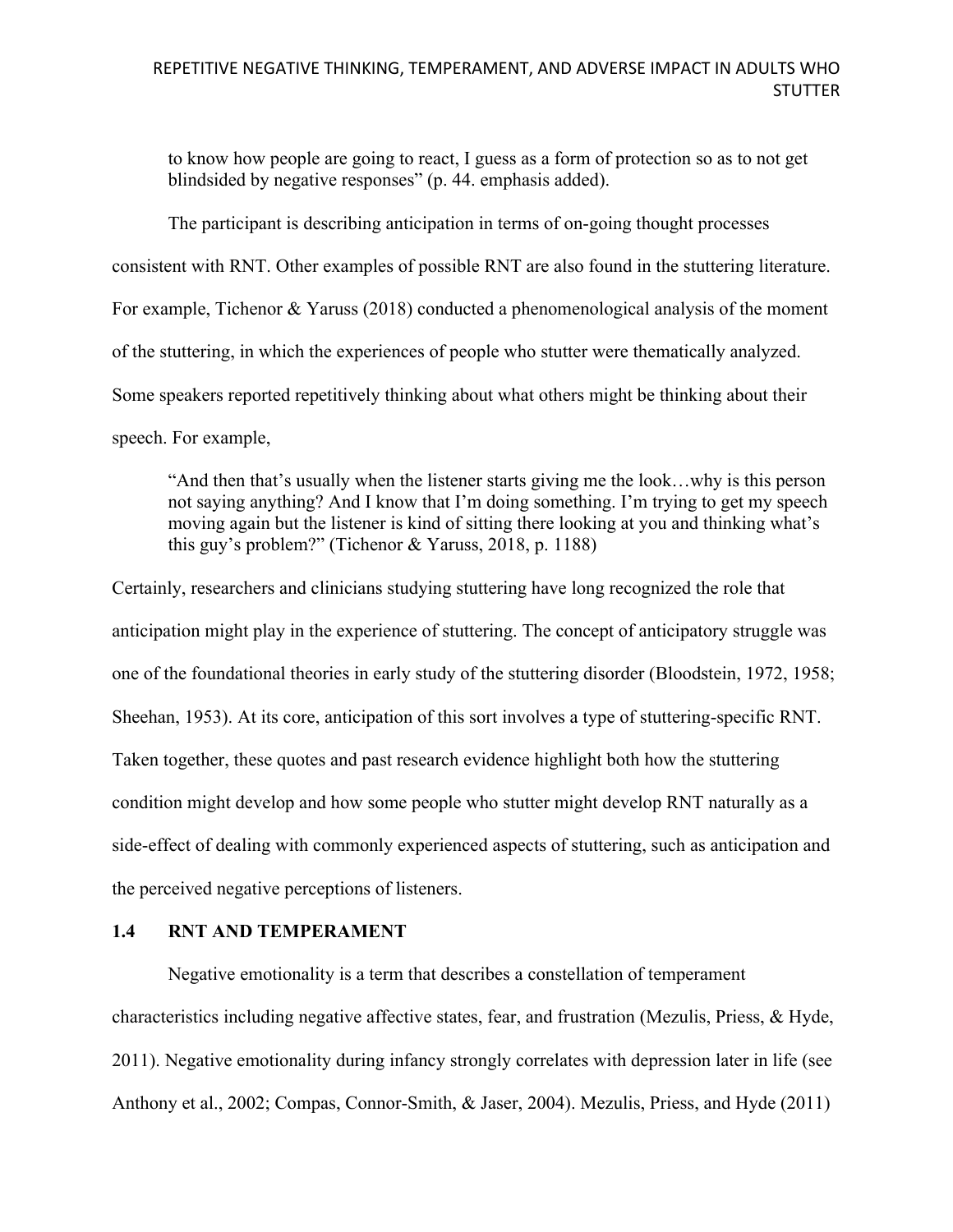to know how people are going to react, I guess as a form of protection so as to not get blindsided by negative responses" (p. 44. emphasis added).

The participant is describing anticipation in terms of on-going thought processes consistent with RNT. Other examples of possible RNT are also found in the stuttering literature. For example, Tichenor & Yaruss (2018) conducted a phenomenological analysis of the moment of the stuttering, in which the experiences of people who stutter were thematically analyzed. Some speakers reported repetitively thinking about what others might be thinking about their speech. For example,

"And then that's usually when the listener starts giving me the look…why is this person not saying anything? And I know that I'm doing something. I'm trying to get my speech moving again but the listener is kind of sitting there looking at you and thinking what's this guy's problem?" (Tichenor & Yaruss, 2018, p. 1188)

Certainly, researchers and clinicians studying stuttering have long recognized the role that anticipation might play in the experience of stuttering. The concept of anticipatory struggle was one of the foundational theories in early study of the stuttering disorder (Bloodstein, 1972, 1958; Sheehan, 1953). At its core, anticipation of this sort involves a type of stuttering-specific RNT. Taken together, these quotes and past research evidence highlight both how the stuttering condition might develop and how some people who stutter might develop RNT naturally as a side-effect of dealing with commonly experienced aspects of stuttering, such as anticipation and the perceived negative perceptions of listeners.

### **1.4 RNT AND TEMPERAMENT**

Negative emotionality is a term that describes a constellation of temperament characteristics including negative affective states, fear, and frustration (Mezulis, Priess, & Hyde, 2011). Negative emotionality during infancy strongly correlates with depression later in life (see Anthony et al., 2002; Compas, Connor-Smith, & Jaser, 2004). Mezulis, Priess, and Hyde (2011)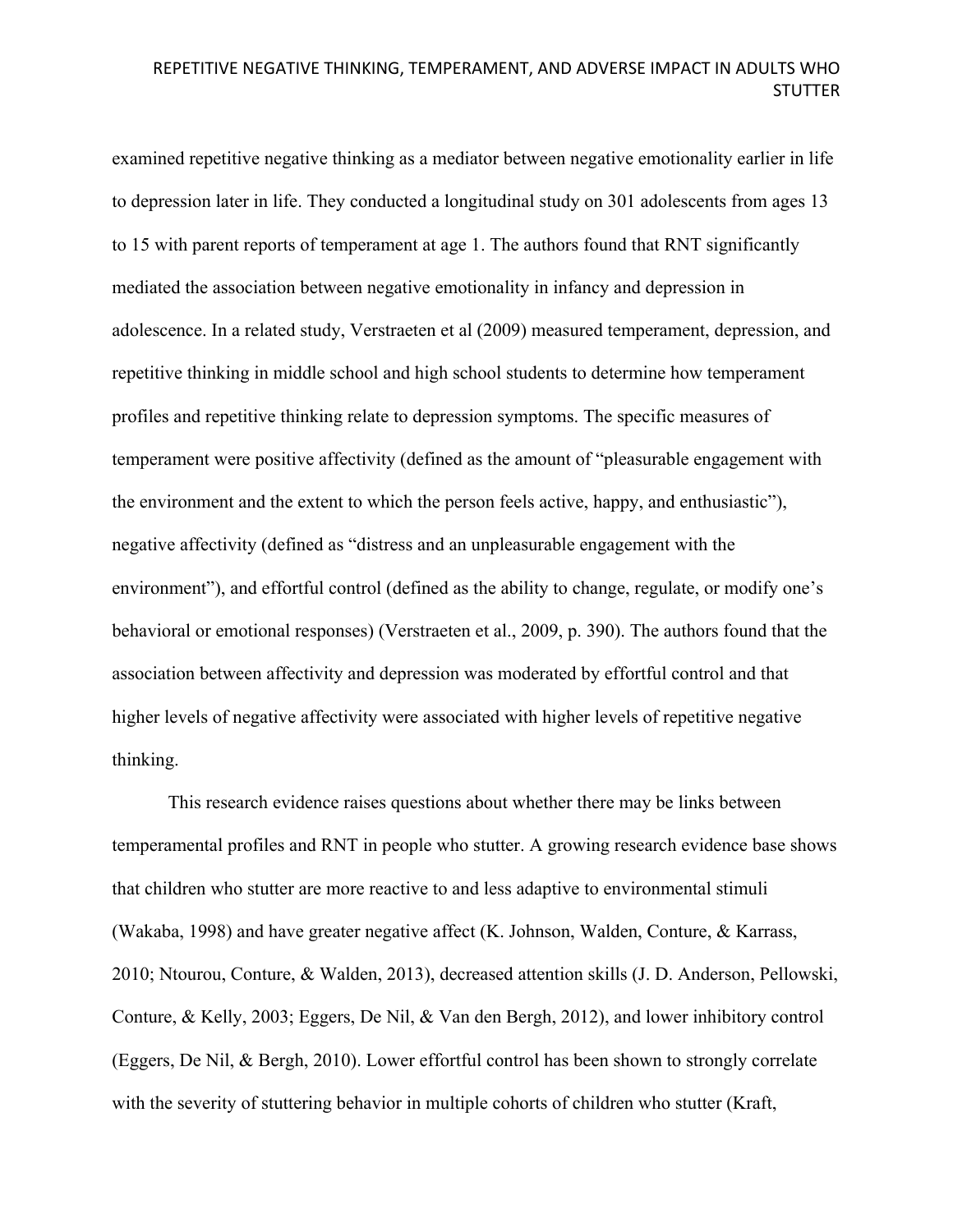examined repetitive negative thinking as a mediator between negative emotionality earlier in life to depression later in life. They conducted a longitudinal study on 301 adolescents from ages 13 to 15 with parent reports of temperament at age 1. The authors found that RNT significantly mediated the association between negative emotionality in infancy and depression in adolescence. In a related study, Verstraeten et al (2009) measured temperament, depression, and repetitive thinking in middle school and high school students to determine how temperament profiles and repetitive thinking relate to depression symptoms. The specific measures of temperament were positive affectivity (defined as the amount of "pleasurable engagement with the environment and the extent to which the person feels active, happy, and enthusiastic"), negative affectivity (defined as "distress and an unpleasurable engagement with the environment"), and effortful control (defined as the ability to change, regulate, or modify one's behavioral or emotional responses) (Verstraeten et al., 2009, p. 390). The authors found that the association between affectivity and depression was moderated by effortful control and that higher levels of negative affectivity were associated with higher levels of repetitive negative thinking.

This research evidence raises questions about whether there may be links between temperamental profiles and RNT in people who stutter. A growing research evidence base shows that children who stutter are more reactive to and less adaptive to environmental stimuli (Wakaba, 1998) and have greater negative affect (K. Johnson, Walden, Conture, & Karrass, 2010; Ntourou, Conture, & Walden, 2013), decreased attention skills (J. D. Anderson, Pellowski, Conture, & Kelly, 2003; Eggers, De Nil, & Van den Bergh, 2012), and lower inhibitory control (Eggers, De Nil, & Bergh, 2010). Lower effortful control has been shown to strongly correlate with the severity of stuttering behavior in multiple cohorts of children who stutter (Kraft,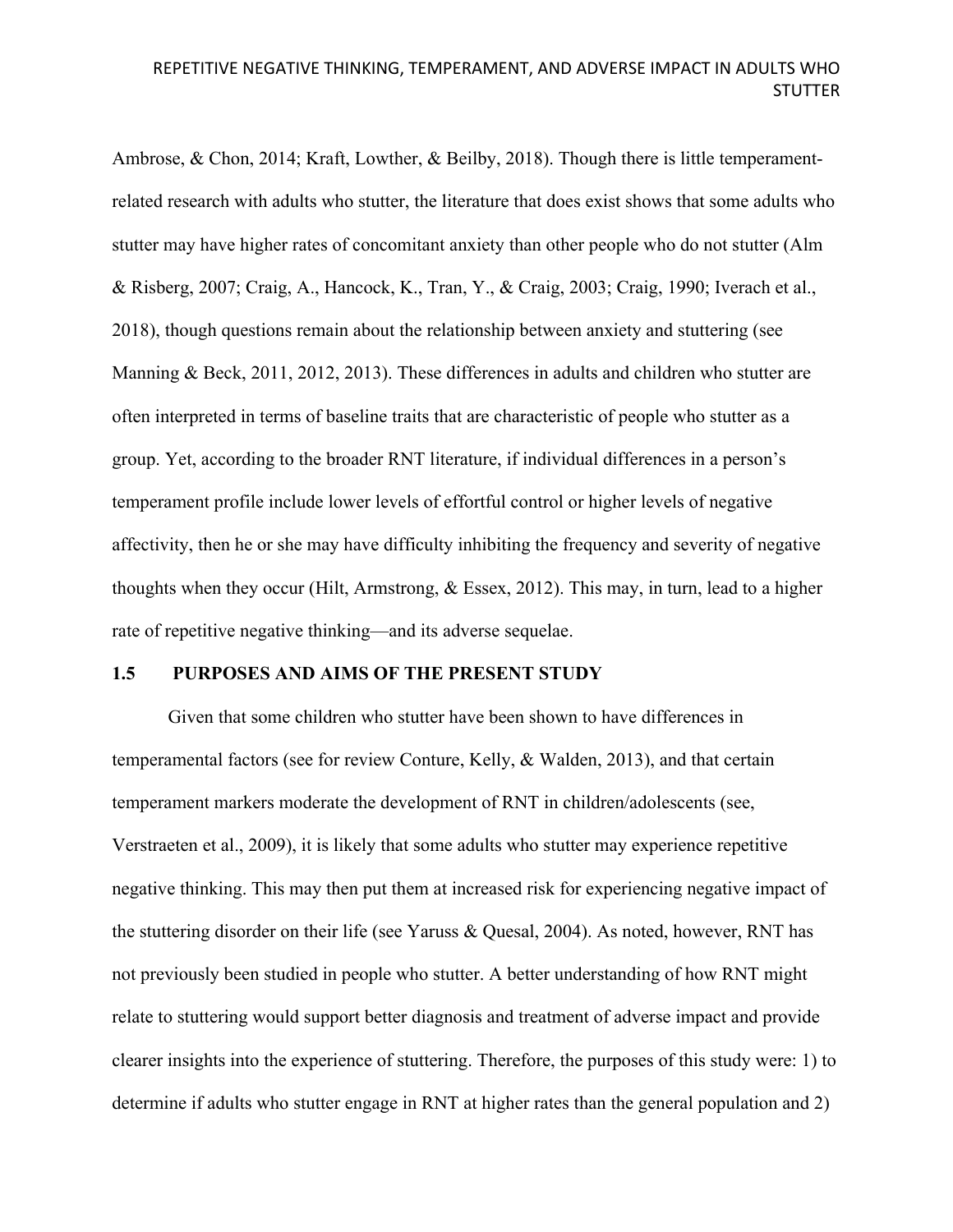Ambrose, & Chon, 2014; Kraft, Lowther, & Beilby, 2018). Though there is little temperamentrelated research with adults who stutter, the literature that does exist shows that some adults who stutter may have higher rates of concomitant anxiety than other people who do not stutter (Alm & Risberg, 2007; Craig, A., Hancock, K., Tran, Y., & Craig, 2003; Craig, 1990; Iverach et al., 2018), though questions remain about the relationship between anxiety and stuttering (see Manning & Beck, 2011, 2012, 2013). These differences in adults and children who stutter are often interpreted in terms of baseline traits that are characteristic of people who stutter as a group. Yet, according to the broader RNT literature, if individual differences in a person's temperament profile include lower levels of effortful control or higher levels of negative affectivity, then he or she may have difficulty inhibiting the frequency and severity of negative thoughts when they occur (Hilt, Armstrong, & Essex, 2012). This may, in turn, lead to a higher rate of repetitive negative thinking—and its adverse sequelae.

#### **1.5 PURPOSES AND AIMS OF THE PRESENT STUDY**

Given that some children who stutter have been shown to have differences in temperamental factors (see for review Conture, Kelly, & Walden, 2013), and that certain temperament markers moderate the development of RNT in children/adolescents (see, Verstraeten et al., 2009), it is likely that some adults who stutter may experience repetitive negative thinking. This may then put them at increased risk for experiencing negative impact of the stuttering disorder on their life (see Yaruss & Quesal, 2004). As noted, however, RNT has not previously been studied in people who stutter. A better understanding of how RNT might relate to stuttering would support better diagnosis and treatment of adverse impact and provide clearer insights into the experience of stuttering. Therefore, the purposes of this study were: 1) to determine if adults who stutter engage in RNT at higher rates than the general population and 2)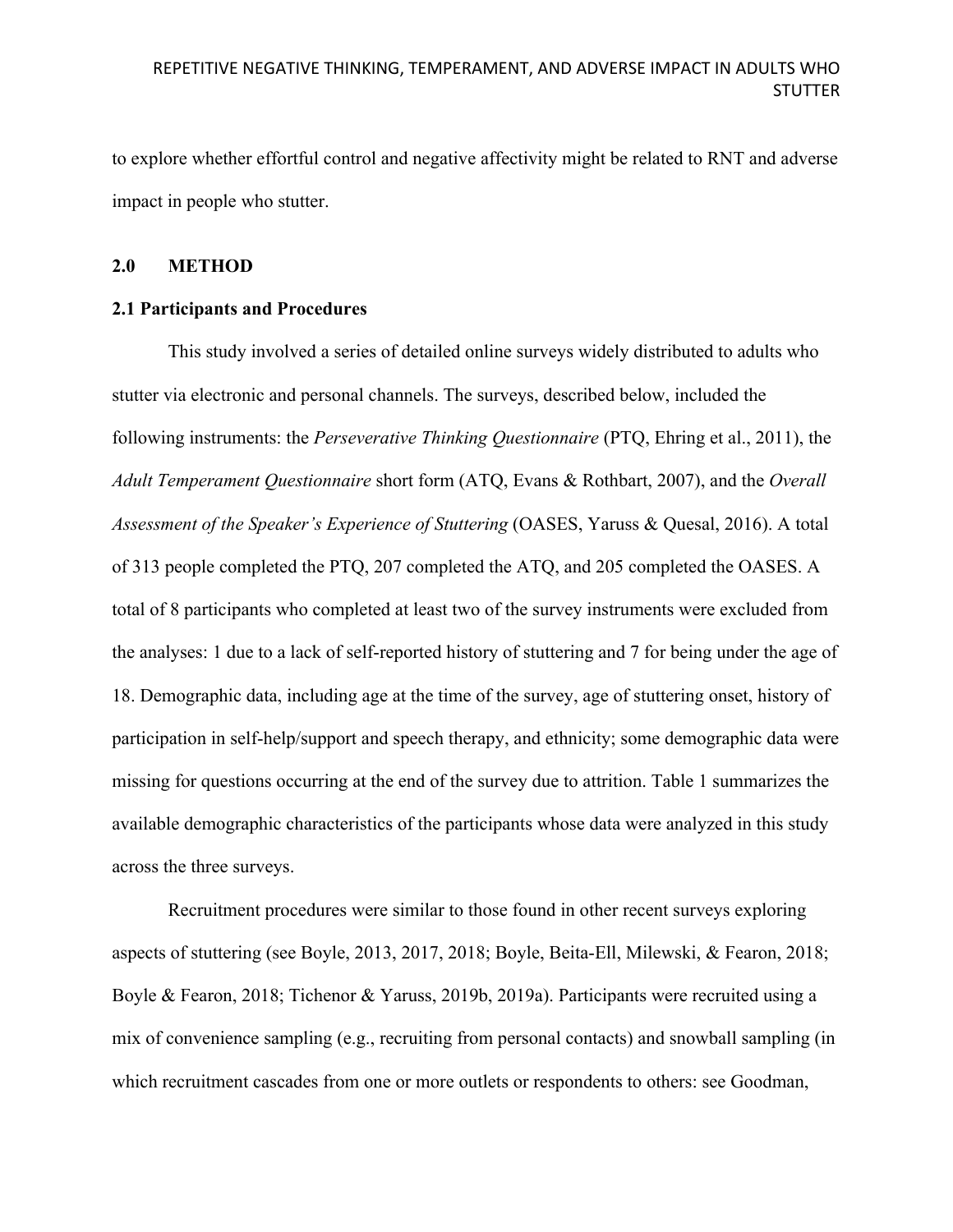to explore whether effortful control and negative affectivity might be related to RNT and adverse impact in people who stutter.

### **2.0 METHOD**

## **2.1 Participants and Procedures**

This study involved a series of detailed online surveys widely distributed to adults who stutter via electronic and personal channels. The surveys, described below, included the following instruments: the *Perseverative Thinking Questionnaire* (PTQ, Ehring et al., 2011), the *Adult Temperament Questionnaire* short form (ATQ, Evans & Rothbart, 2007), and the *Overall Assessment of the Speaker's Experience of Stuttering* (OASES, Yaruss & Quesal, 2016). A total of 313 people completed the PTQ, 207 completed the ATQ, and 205 completed the OASES. A total of 8 participants who completed at least two of the survey instruments were excluded from the analyses: 1 due to a lack of self-reported history of stuttering and 7 for being under the age of 18. Demographic data, including age at the time of the survey, age of stuttering onset, history of participation in self-help/support and speech therapy, and ethnicity; some demographic data were missing for questions occurring at the end of the survey due to attrition. Table 1 summarizes the available demographic characteristics of the participants whose data were analyzed in this study across the three surveys.

Recruitment procedures were similar to those found in other recent surveys exploring aspects of stuttering (see Boyle, 2013, 2017, 2018; Boyle, Beita-Ell, Milewski, & Fearon, 2018; Boyle & Fearon, 2018; Tichenor & Yaruss, 2019b, 2019a). Participants were recruited using a mix of convenience sampling (e.g., recruiting from personal contacts) and snowball sampling (in which recruitment cascades from one or more outlets or respondents to others: see Goodman,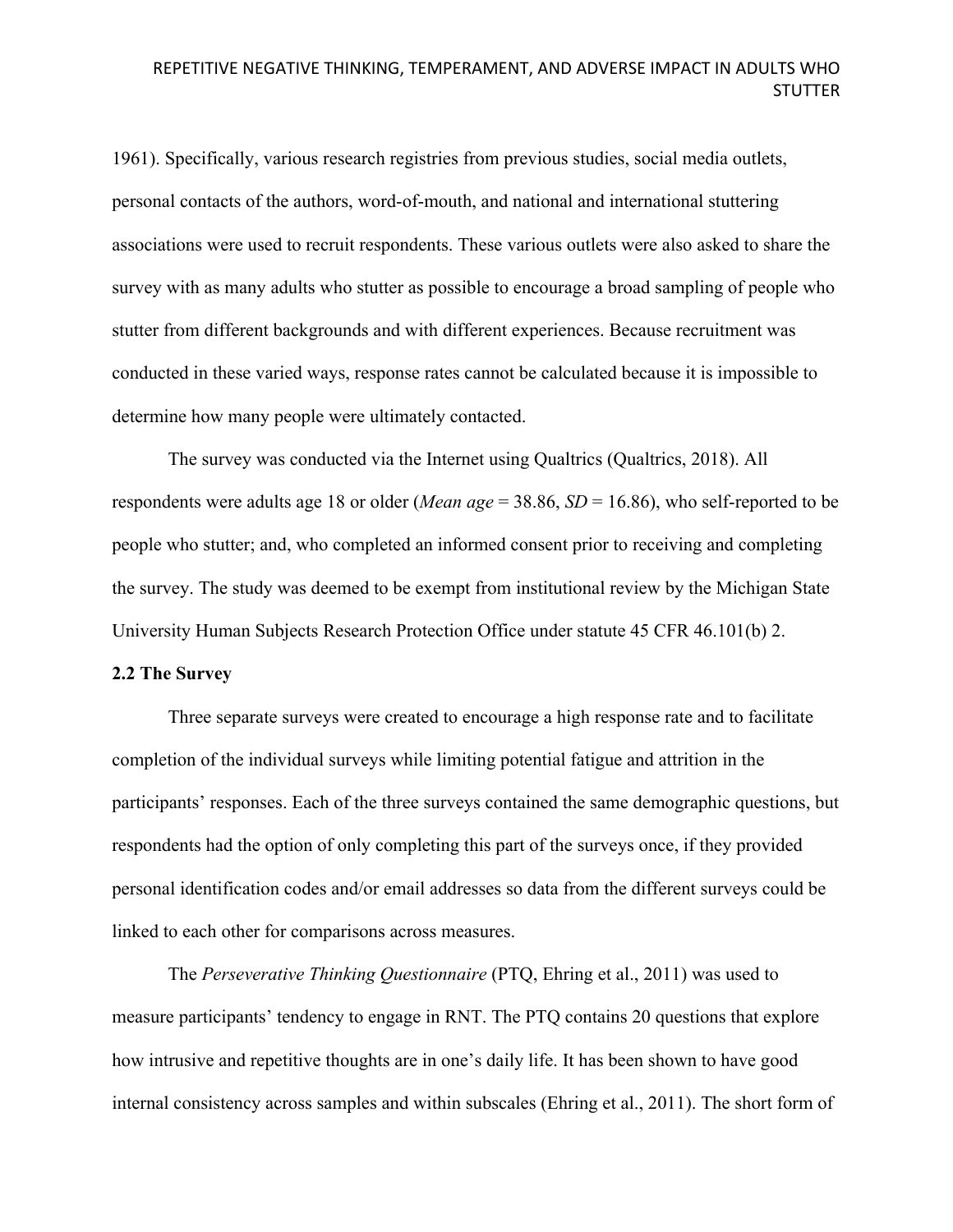1961). Specifically, various research registries from previous studies, social media outlets, personal contacts of the authors, word-of-mouth, and national and international stuttering associations were used to recruit respondents. These various outlets were also asked to share the survey with as many adults who stutter as possible to encourage a broad sampling of people who stutter from different backgrounds and with different experiences. Because recruitment was conducted in these varied ways, response rates cannot be calculated because it is impossible to determine how many people were ultimately contacted.

The survey was conducted via the Internet using Qualtrics (Qualtrics, 2018). All respondents were adults age 18 or older (*Mean age* = 38.86, *SD* = 16.86), who self-reported to be people who stutter; and, who completed an informed consent prior to receiving and completing the survey. The study was deemed to be exempt from institutional review by the Michigan State University Human Subjects Research Protection Office under statute 45 CFR 46.101(b) 2.

### **2.2 The Survey**

Three separate surveys were created to encourage a high response rate and to facilitate completion of the individual surveys while limiting potential fatigue and attrition in the participants' responses. Each of the three surveys contained the same demographic questions, but respondents had the option of only completing this part of the surveys once, if they provided personal identification codes and/or email addresses so data from the different surveys could be linked to each other for comparisons across measures.

The *Perseverative Thinking Questionnaire* (PTQ, Ehring et al., 2011) was used to measure participants' tendency to engage in RNT. The PTQ contains 20 questions that explore how intrusive and repetitive thoughts are in one's daily life. It has been shown to have good internal consistency across samples and within subscales (Ehring et al., 2011). The short form of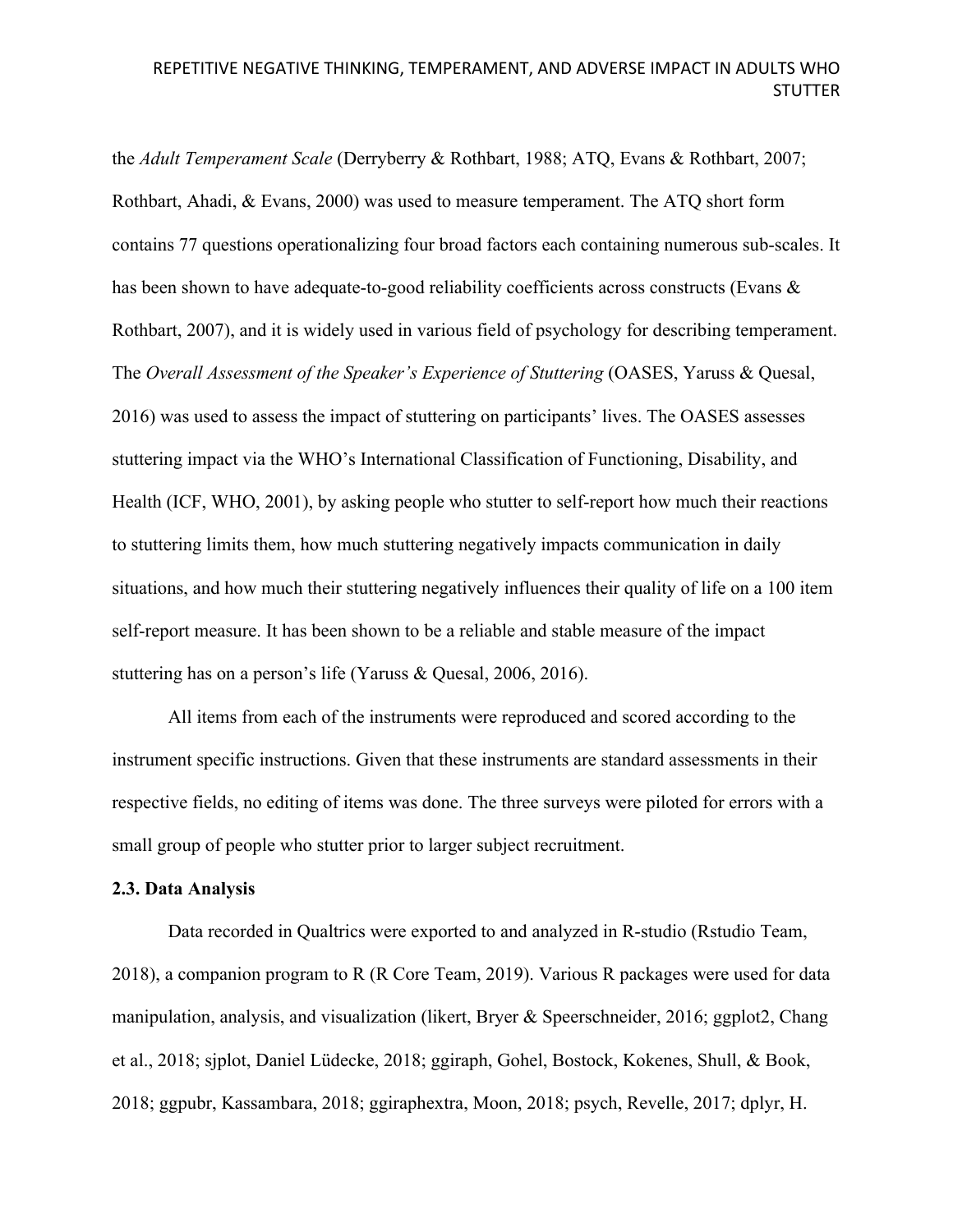the *Adult Temperament Scale* (Derryberry & Rothbart, 1988; ATQ, Evans & Rothbart, 2007; Rothbart, Ahadi, & Evans, 2000) was used to measure temperament. The ATQ short form contains 77 questions operationalizing four broad factors each containing numerous sub-scales. It has been shown to have adequate-to-good reliability coefficients across constructs (Evans & Rothbart, 2007), and it is widely used in various field of psychology for describing temperament. The *Overall Assessment of the Speaker's Experience of Stuttering* (OASES, Yaruss & Quesal, 2016) was used to assess the impact of stuttering on participants' lives. The OASES assesses stuttering impact via the WHO's International Classification of Functioning, Disability, and Health (ICF, WHO, 2001), by asking people who stutter to self-report how much their reactions to stuttering limits them, how much stuttering negatively impacts communication in daily situations, and how much their stuttering negatively influences their quality of life on a 100 item self-report measure. It has been shown to be a reliable and stable measure of the impact stuttering has on a person's life (Yaruss & Quesal, 2006, 2016).

All items from each of the instruments were reproduced and scored according to the instrument specific instructions. Given that these instruments are standard assessments in their respective fields, no editing of items was done. The three surveys were piloted for errors with a small group of people who stutter prior to larger subject recruitment.

#### **2.3. Data Analysis**

Data recorded in Qualtrics were exported to and analyzed in R-studio (Rstudio Team, 2018), a companion program to R (R Core Team, 2019). Various R packages were used for data manipulation, analysis, and visualization (likert, Bryer & Speerschneider, 2016; ggplot2, Chang et al., 2018; sjplot, Daniel Lüdecke, 2018; ggiraph, Gohel, Bostock, Kokenes, Shull, & Book, 2018; ggpubr, Kassambara, 2018; ggiraphextra, Moon, 2018; psych, Revelle, 2017; dplyr, H.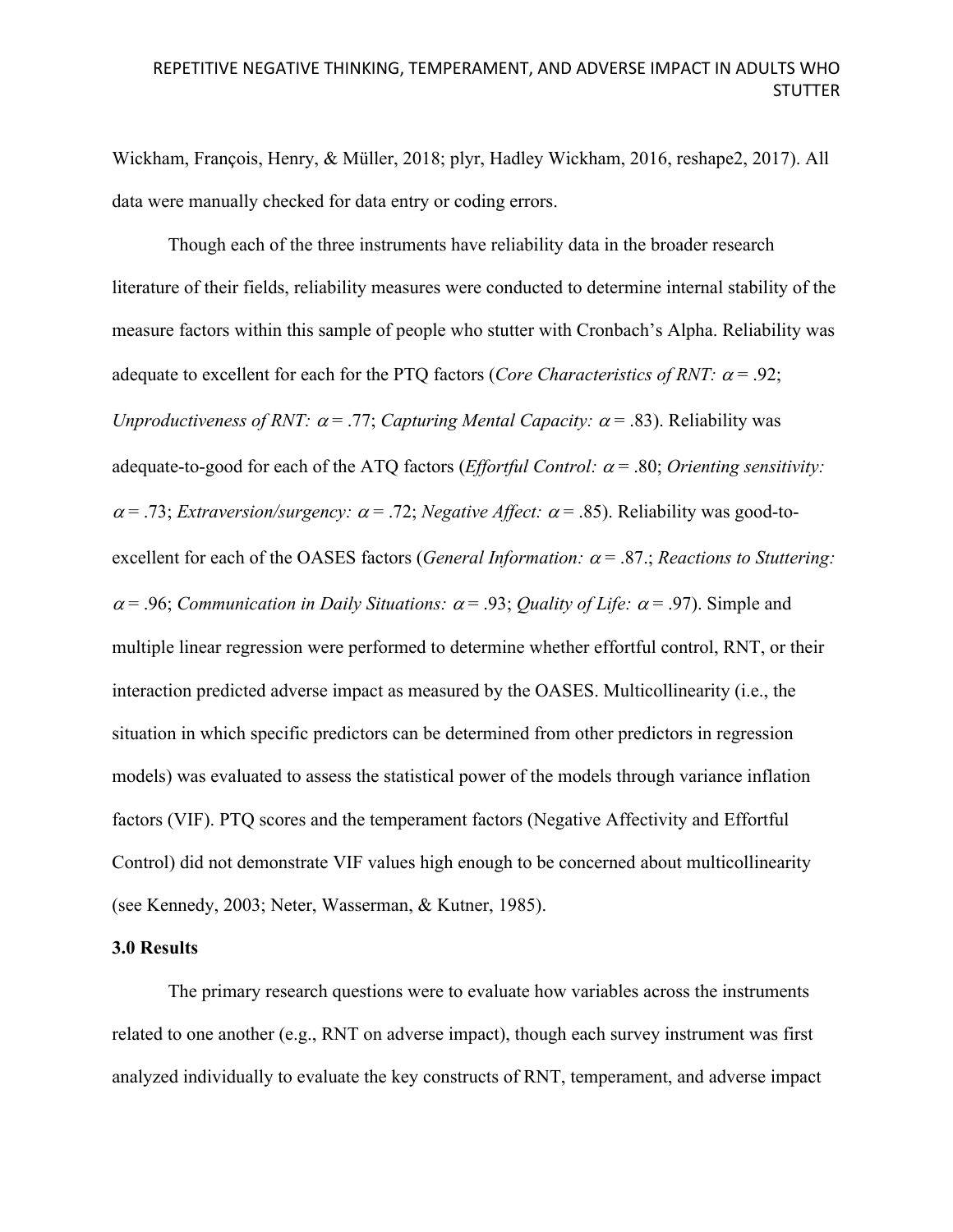Wickham, François, Henry, & Müller, 2018; plyr, Hadley Wickham, 2016, reshape2, 2017). All data were manually checked for data entry or coding errors.

Though each of the three instruments have reliability data in the broader research literature of their fields, reliability measures were conducted to determine internal stability of the measure factors within this sample of people who stutter with Cronbach's Alpha. Reliability was adequate to excellent for each for the PTQ factors (*Core Characteristics of RNT:*  $\alpha$  = .92; *Unproductiveness of RNT:*  $\alpha$  = .77; *Capturing Mental Capacity:*  $\alpha$  = .83). Reliability was adequate-to-good for each of the ATQ factors (*Effortful Control:*  $\alpha$  = .80; *Orienting sensitivity:*  $\alpha$  = .73; *Extraversion/surgency:*  $\alpha$  = .72; *Negative Affect:*  $\alpha$  = .85). Reliability was good-toexcellent for each of the OASES factors (*General Information:*  $\alpha$  = .87.; *Reactions to Stuttering:*  $\alpha$  = .96; *Communication in Daily Situations:*  $\alpha$  = .93; *Quality of Life:*  $\alpha$  = .97). Simple and multiple linear regression were performed to determine whether effortful control, RNT, or their interaction predicted adverse impact as measured by the OASES. Multicollinearity (i.e., the situation in which specific predictors can be determined from other predictors in regression models) was evaluated to assess the statistical power of the models through variance inflation factors (VIF). PTQ scores and the temperament factors (Negative Affectivity and Effortful Control) did not demonstrate VIF values high enough to be concerned about multicollinearity (see Kennedy, 2003; Neter, Wasserman, & Kutner, 1985).

### **3.0 Results**

The primary research questions were to evaluate how variables across the instruments related to one another (e.g., RNT on adverse impact), though each survey instrument was first analyzed individually to evaluate the key constructs of RNT, temperament, and adverse impact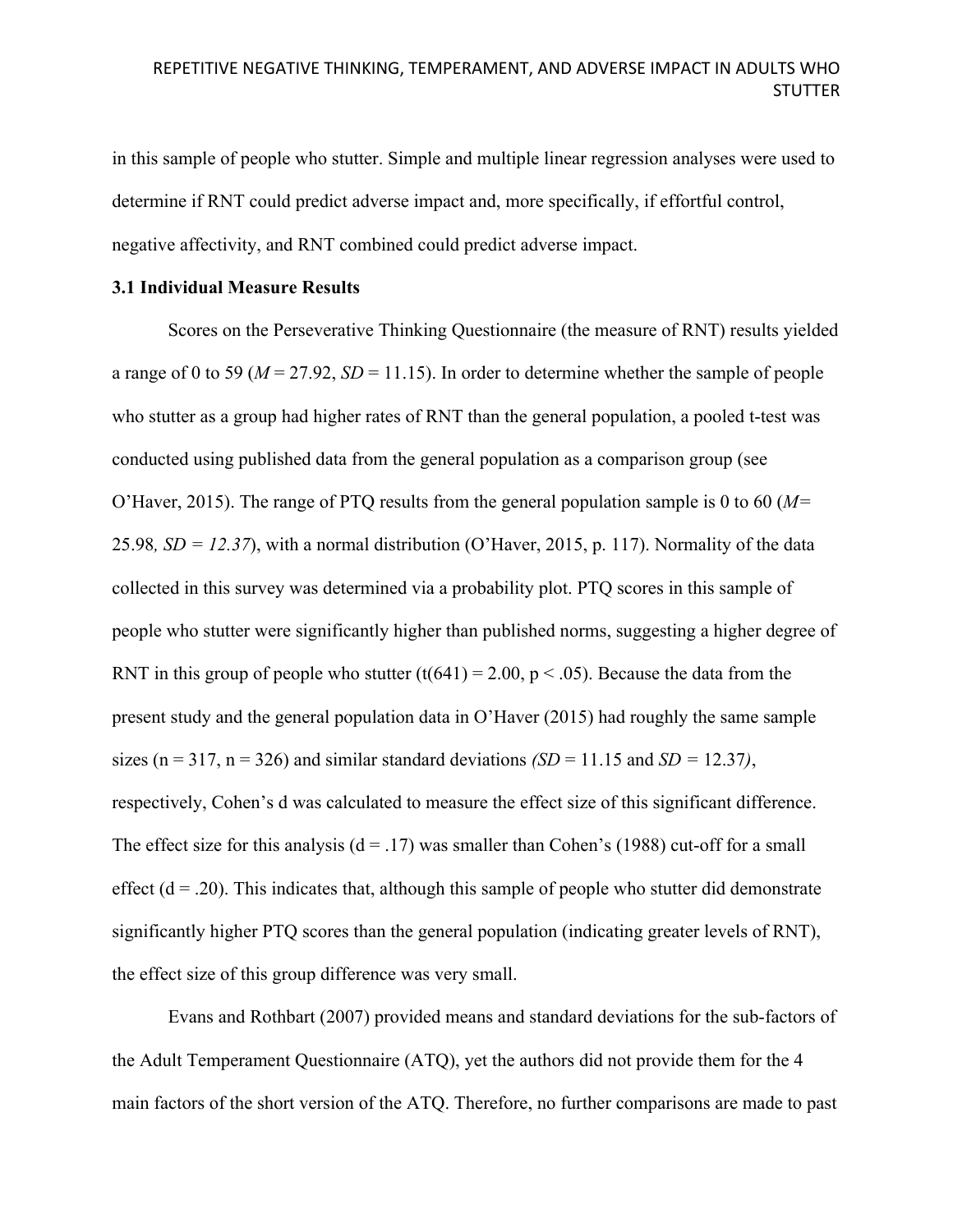in this sample of people who stutter. Simple and multiple linear regression analyses were used to determine if RNT could predict adverse impact and, more specifically, if effortful control, negative affectivity, and RNT combined could predict adverse impact.

### **3.1 Individual Measure Results**

Scores on the Perseverative Thinking Questionnaire (the measure of RNT) results yielded a range of 0 to 59 ( $M = 27.92$ ,  $SD = 11.15$ ). In order to determine whether the sample of people who stutter as a group had higher rates of RNT than the general population, a pooled t-test was conducted using published data from the general population as a comparison group (see O'Haver, 2015). The range of PTQ results from the general population sample is 0 to 60 (*M=*  25.98*, SD = 12.37*), with a normal distribution (O'Haver, 2015, p. 117). Normality of the data collected in this survey was determined via a probability plot. PTQ scores in this sample of people who stutter were significantly higher than published norms, suggesting a higher degree of RNT in this group of people who stutter  $(t(641) = 2.00, p < .05)$ . Because the data from the present study and the general population data in O'Haver (2015) had roughly the same sample sizes ( $n = 317$ ,  $n = 326$ ) and similar standard deviations *(SD* = 11.15 and *SD* = 12.37*)*, respectively, Cohen's d was calculated to measure the effect size of this significant difference. The effect size for this analysis  $(d = .17)$  was smaller than Cohen's (1988) cut-off for a small effect  $(d = .20)$ . This indicates that, although this sample of people who stutter did demonstrate significantly higher PTQ scores than the general population (indicating greater levels of RNT), the effect size of this group difference was very small.

Evans and Rothbart (2007) provided means and standard deviations for the sub-factors of the Adult Temperament Questionnaire (ATQ), yet the authors did not provide them for the 4 main factors of the short version of the ATQ. Therefore, no further comparisons are made to past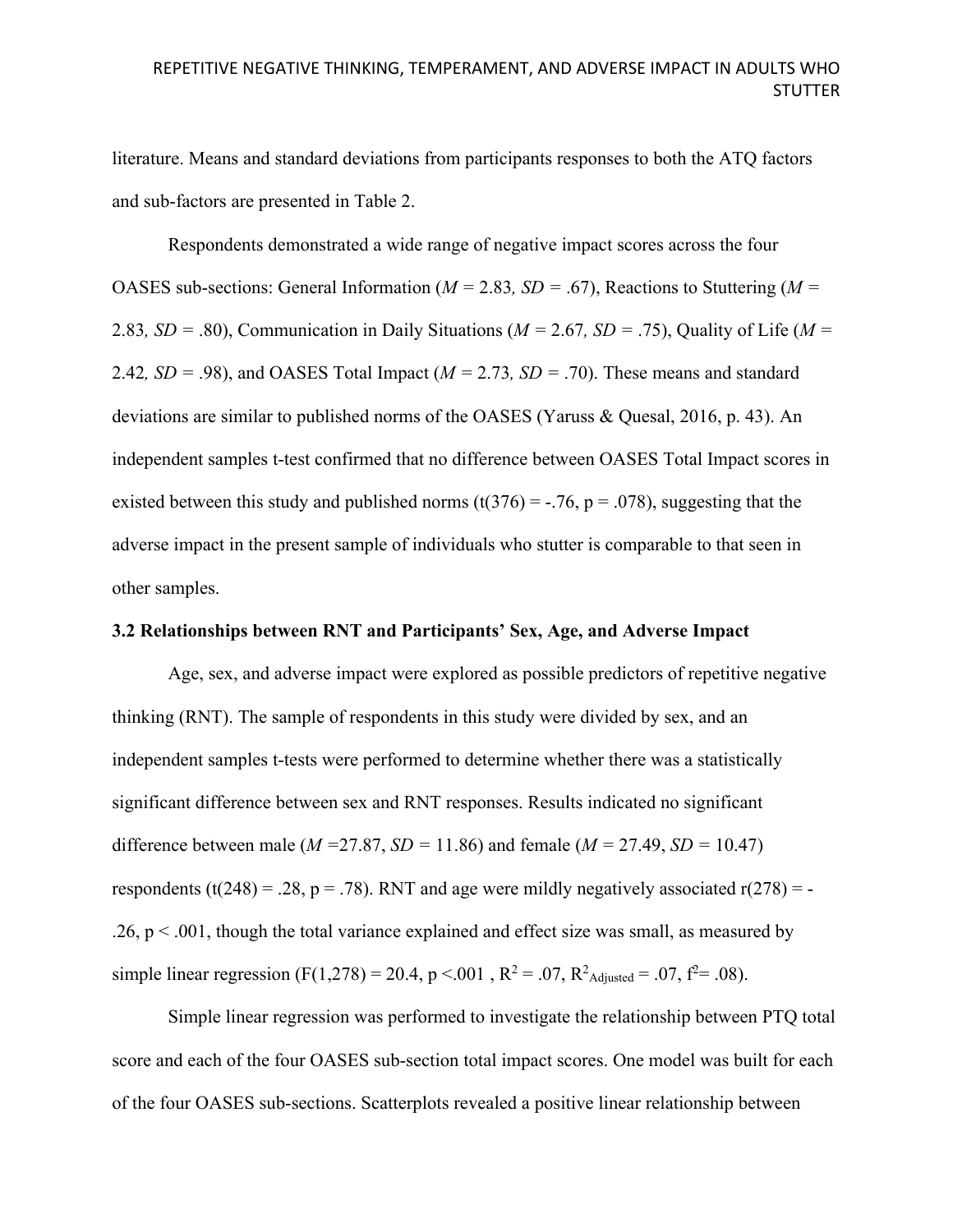literature. Means and standard deviations from participants responses to both the ATQ factors and sub-factors are presented in Table 2.

Respondents demonstrated a wide range of negative impact scores across the four OASES sub-sections: General Information (*M =* 2.83*, SD =* .67), Reactions to Stuttering (*M =*  2.83*, SD =* .80), Communication in Daily Situations (*M =* 2.67*, SD =* .75), Quality of Life (*M =*  2.42*, SD =* .98), and OASES Total Impact (*M =* 2.73*, SD =* .70). These means and standard deviations are similar to published norms of the OASES (Yaruss & Quesal, 2016, p. 43). An independent samples t-test confirmed that no difference between OASES Total Impact scores in existed between this study and published norms (t(376) = -.76, p = .078), suggesting that the adverse impact in the present sample of individuals who stutter is comparable to that seen in other samples.

### **3.2 Relationships between RNT and Participants' Sex, Age, and Adverse Impact**

Age, sex, and adverse impact were explored as possible predictors of repetitive negative thinking (RNT). The sample of respondents in this study were divided by sex, and an independent samples t-tests were performed to determine whether there was a statistically significant difference between sex and RNT responses. Results indicated no significant difference between male (*M =*27.87, *SD =* 11.86) and female (*M =* 27.49, *SD =* 10.47) respondents (t(248) = .28, p = .78). RNT and age were mildly negatively associated  $r(278)$  = - $.26$ ,  $p < .001$ , though the total variance explained and effect size was small, as measured by simple linear regression (F(1,278) = 20.4, p < 001, R<sup>2</sup> = .07, R<sup>2</sup>Adjusted = .07, f<sup>2</sup> = .08).

Simple linear regression was performed to investigate the relationship between PTQ total score and each of the four OASES sub-section total impact scores. One model was built for each of the four OASES sub-sections. Scatterplots revealed a positive linear relationship between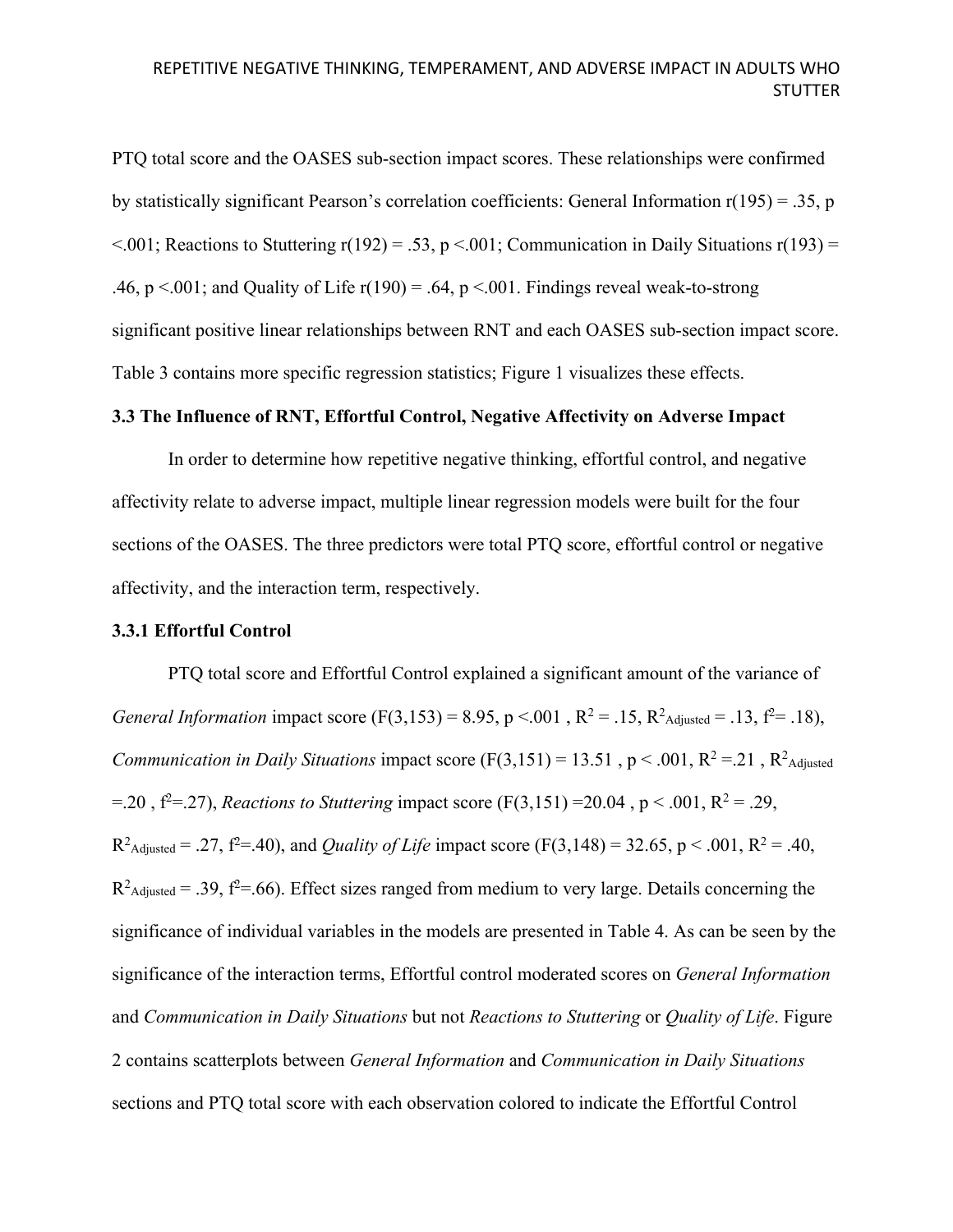PTQ total score and the OASES sub-section impact scores. These relationships were confirmed by statistically significant Pearson's correlation coefficients: General Information r(195) = .35, p  $\leq$ .001; Reactions to Stuttering r(192) = .53, p $\leq$ .001; Communication in Daily Situations r(193) = .46,  $p < 0.001$ ; and Quality of Life r(190) = .64,  $p < 0.01$ . Findings reveal weak-to-strong significant positive linear relationships between RNT and each OASES sub-section impact score. Table 3 contains more specific regression statistics; Figure 1 visualizes these effects.

### **3.3 The Influence of RNT, Effortful Control, Negative Affectivity on Adverse Impact**

In order to determine how repetitive negative thinking, effortful control, and negative affectivity relate to adverse impact, multiple linear regression models were built for the four sections of the OASES. The three predictors were total PTQ score, effortful control or negative affectivity, and the interaction term, respectively.

#### **3.3.1 Effortful Control**

PTQ total score and Effortful Control explained a significant amount of the variance of *General Information* impact score (F(3,153) = 8.95, p <.001, R<sup>2</sup> = .15, R<sup>2</sup><sub>Adjusted</sub> = .13, f<sup>2</sup> = .18), *Communication in Daily Situations* impact score  $(F(3, 151) = 13.51$ ,  $p < .001$ ,  $R^2 = .21$ ,  $R^2$ <sub>Adjusted</sub>  $= 20$ ,  $f^2 = 27$ ), *Reactions to Stuttering* impact score (F(3,151) = 20.04, p < .001, R<sup>2</sup> = .29,  $R^2$ <sub>Adjusted</sub> = .27,  $f^2$ =.40), and *Quality of Life* impact score (F(3,148) = 32.65, p < .001,  $R^2$  = .40,  $R<sup>2</sup>$ Adjusted = .39, f<sup>2</sup>=.66). Effect sizes ranged from medium to very large. Details concerning the significance of individual variables in the models are presented in Table 4. As can be seen by the significance of the interaction terms, Effortful control moderated scores on *General Information* and *Communication in Daily Situations* but not *Reactions to Stuttering* or *Quality of Life*. Figure 2 contains scatterplots between *General Information* and *Communication in Daily Situations* sections and PTQ total score with each observation colored to indicate the Effortful Control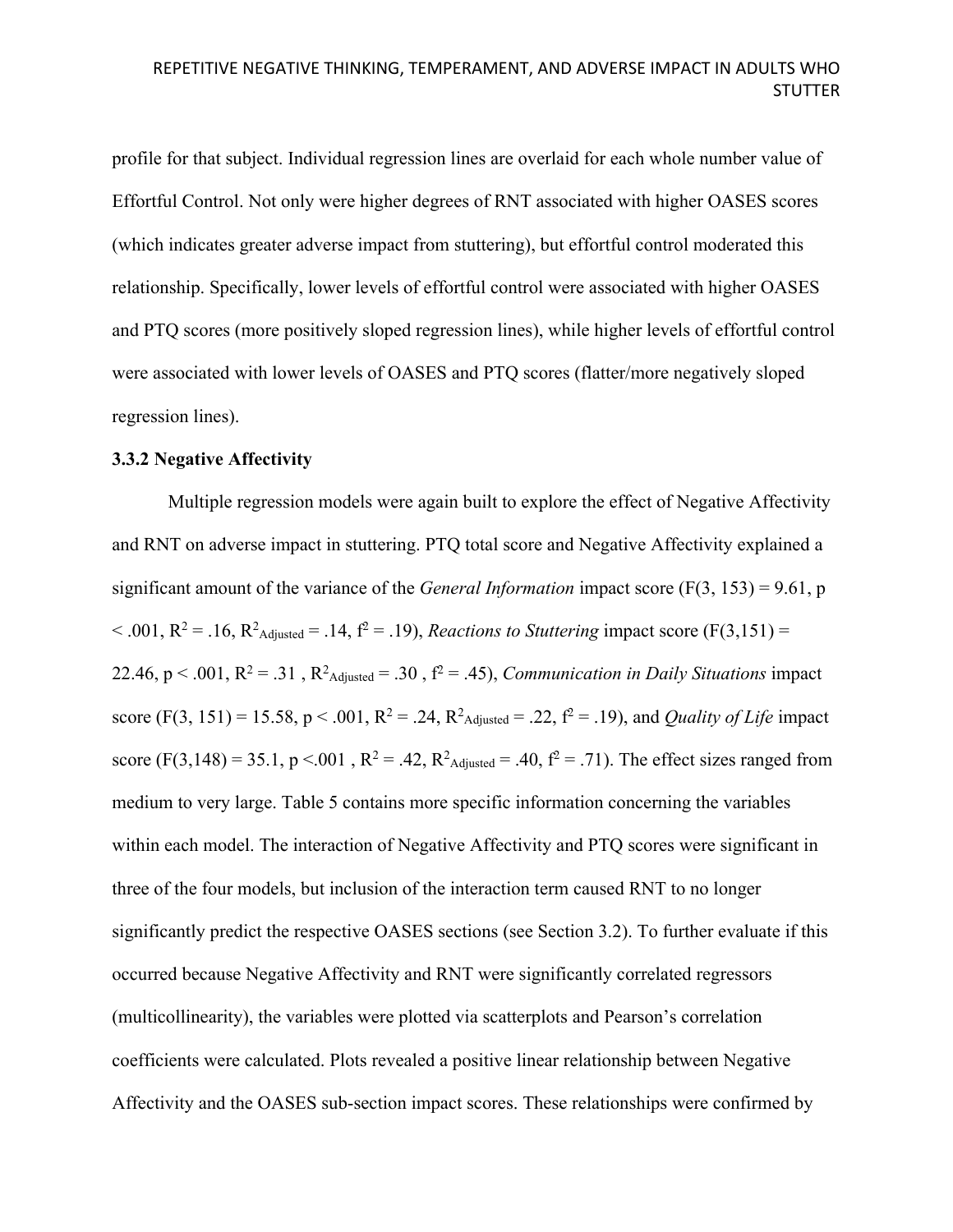profile for that subject. Individual regression lines are overlaid for each whole number value of Effortful Control. Not only were higher degrees of RNT associated with higher OASES scores (which indicates greater adverse impact from stuttering), but effortful control moderated this relationship. Specifically, lower levels of effortful control were associated with higher OASES and PTQ scores (more positively sloped regression lines), while higher levels of effortful control were associated with lower levels of OASES and PTQ scores (flatter/more negatively sloped regression lines).

### **3.3.2 Negative Affectivity**

Multiple regression models were again built to explore the effect of Negative Affectivity and RNT on adverse impact in stuttering. PTQ total score and Negative Affectivity explained a significant amount of the variance of the *General Information* impact score (F(3, 153) = 9.61, p  $< .001$ ,  $R^2 = .16$ ,  $R^2$ <sub>Adjusted</sub> = .14,  $f^2 = .19$ ), *Reactions to Stuttering* impact score (F(3,151) = 22.46,  $p < .001$ ,  $R^2 = .31$ ,  $R^2$ <sub>Adjusted</sub> = .30,  $f^2 = .45$ ), *Communication in Daily Situations* impact score (F(3, 151) = 15.58, p < .001, R<sup>2</sup> = .24, R<sup>2</sup><sub>Adjusted</sub> = .22, f<sup>2</sup> = .19), and *Quality of Life* impact score (F(3,148) = 35.1, p <.001, R<sup>2</sup> = .42, R<sup>2</sup><sub>Adjusted</sub> = .40, f<sup>2</sup> = .71). The effect sizes ranged from medium to very large. Table 5 contains more specific information concerning the variables within each model. The interaction of Negative Affectivity and PTQ scores were significant in three of the four models, but inclusion of the interaction term caused RNT to no longer significantly predict the respective OASES sections (see Section 3.2). To further evaluate if this occurred because Negative Affectivity and RNT were significantly correlated regressors (multicollinearity), the variables were plotted via scatterplots and Pearson's correlation coefficients were calculated. Plots revealed a positive linear relationship between Negative Affectivity and the OASES sub-section impact scores. These relationships were confirmed by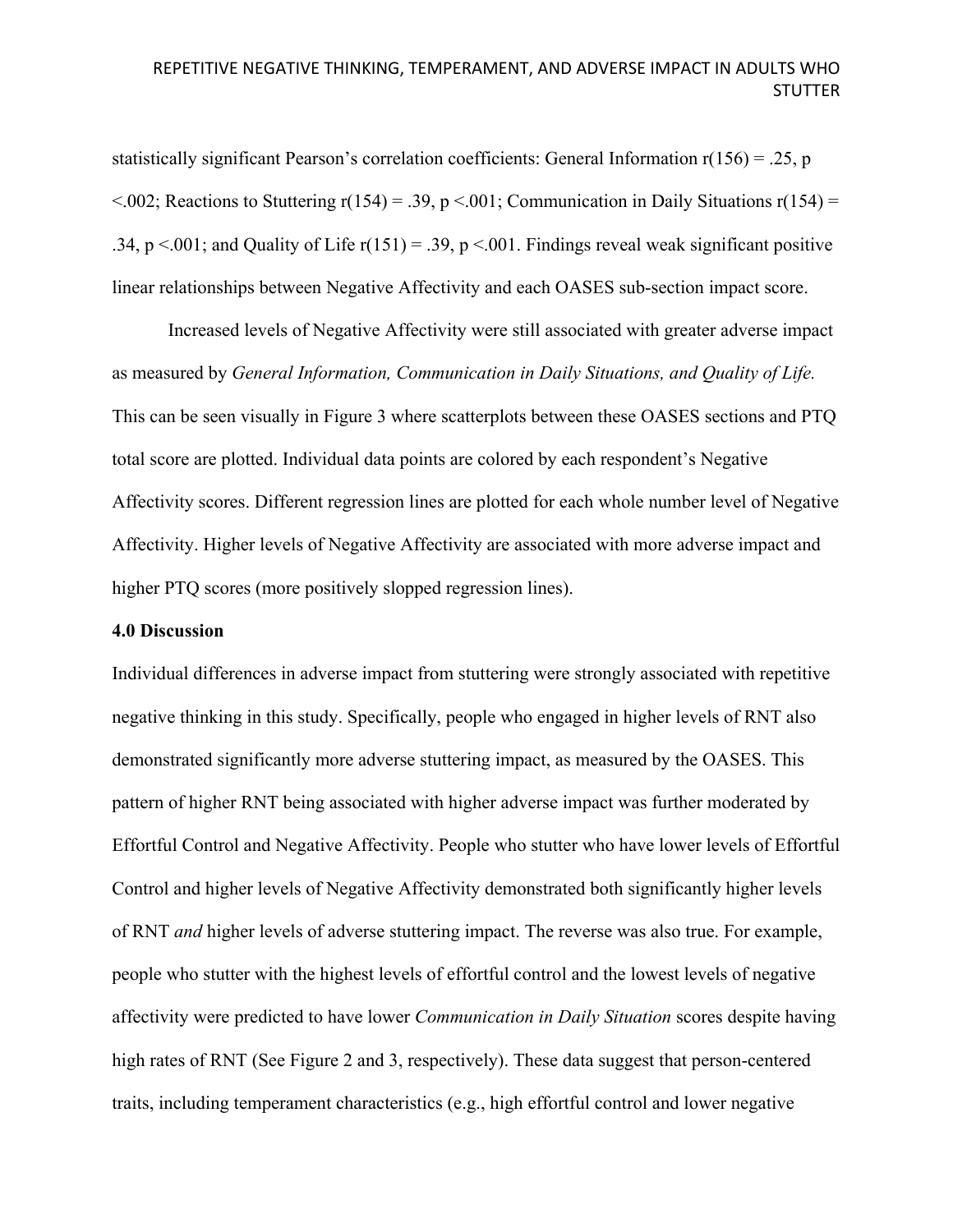statistically significant Pearson's correlation coefficients: General Information  $r(156) = .25$ , p  $\leq$ .002; Reactions to Stuttering r(154) = .39, p $\leq$ .001; Communication in Daily Situations r(154) = .34, p <.001; and Quality of Life  $r(151) = .39$ , p <.001. Findings reveal weak significant positive linear relationships between Negative Affectivity and each OASES sub-section impact score.

Increased levels of Negative Affectivity were still associated with greater adverse impact as measured by *General Information, Communication in Daily Situations, and Quality of Life.*  This can be seen visually in Figure 3 where scatterplots between these OASES sections and PTQ total score are plotted. Individual data points are colored by each respondent's Negative Affectivity scores. Different regression lines are plotted for each whole number level of Negative Affectivity. Higher levels of Negative Affectivity are associated with more adverse impact and higher PTQ scores (more positively slopped regression lines).

### **4.0 Discussion**

Individual differences in adverse impact from stuttering were strongly associated with repetitive negative thinking in this study. Specifically, people who engaged in higher levels of RNT also demonstrated significantly more adverse stuttering impact, as measured by the OASES. This pattern of higher RNT being associated with higher adverse impact was further moderated by Effortful Control and Negative Affectivity. People who stutter who have lower levels of Effortful Control and higher levels of Negative Affectivity demonstrated both significantly higher levels of RNT *and* higher levels of adverse stuttering impact. The reverse was also true. For example, people who stutter with the highest levels of effortful control and the lowest levels of negative affectivity were predicted to have lower *Communication in Daily Situation* scores despite having high rates of RNT (See Figure 2 and 3, respectively). These data suggest that person-centered traits, including temperament characteristics (e.g., high effortful control and lower negative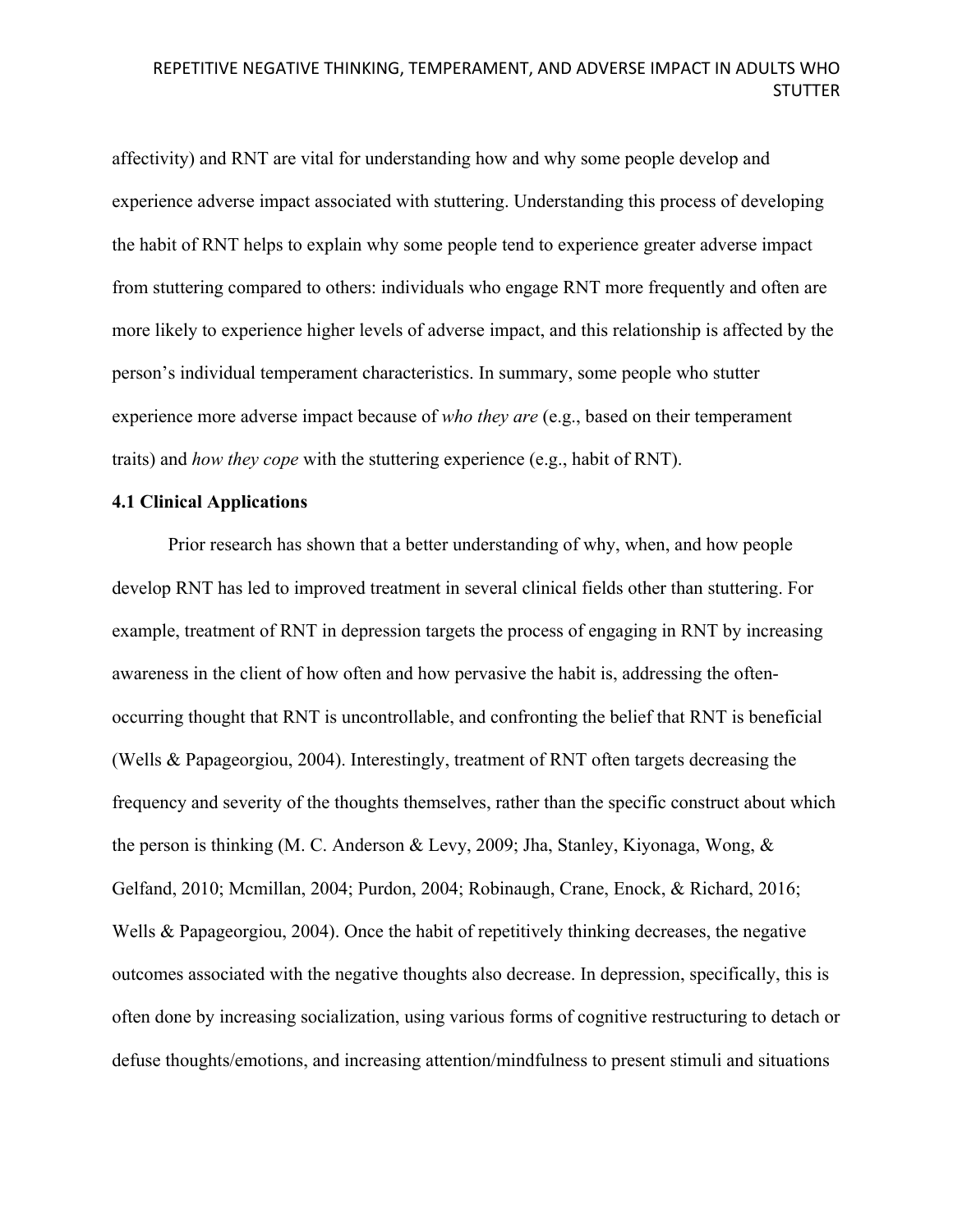affectivity) and RNT are vital for understanding how and why some people develop and experience adverse impact associated with stuttering. Understanding this process of developing the habit of RNT helps to explain why some people tend to experience greater adverse impact from stuttering compared to others: individuals who engage RNT more frequently and often are more likely to experience higher levels of adverse impact, and this relationship is affected by the person's individual temperament characteristics. In summary, some people who stutter experience more adverse impact because of *who they are* (e.g., based on their temperament traits) and *how they cope* with the stuttering experience (e.g., habit of RNT).

### **4.1 Clinical Applications**

Prior research has shown that a better understanding of why, when, and how people develop RNT has led to improved treatment in several clinical fields other than stuttering. For example, treatment of RNT in depression targets the process of engaging in RNT by increasing awareness in the client of how often and how pervasive the habit is, addressing the oftenoccurring thought that RNT is uncontrollable, and confronting the belief that RNT is beneficial (Wells & Papageorgiou, 2004). Interestingly, treatment of RNT often targets decreasing the frequency and severity of the thoughts themselves, rather than the specific construct about which the person is thinking (M. C. Anderson & Levy, 2009; Jha, Stanley, Kiyonaga, Wong, & Gelfand, 2010; Mcmillan, 2004; Purdon, 2004; Robinaugh, Crane, Enock, & Richard, 2016; Wells & Papageorgiou, 2004). Once the habit of repetitively thinking decreases, the negative outcomes associated with the negative thoughts also decrease. In depression, specifically, this is often done by increasing socialization, using various forms of cognitive restructuring to detach or defuse thoughts/emotions, and increasing attention/mindfulness to present stimuli and situations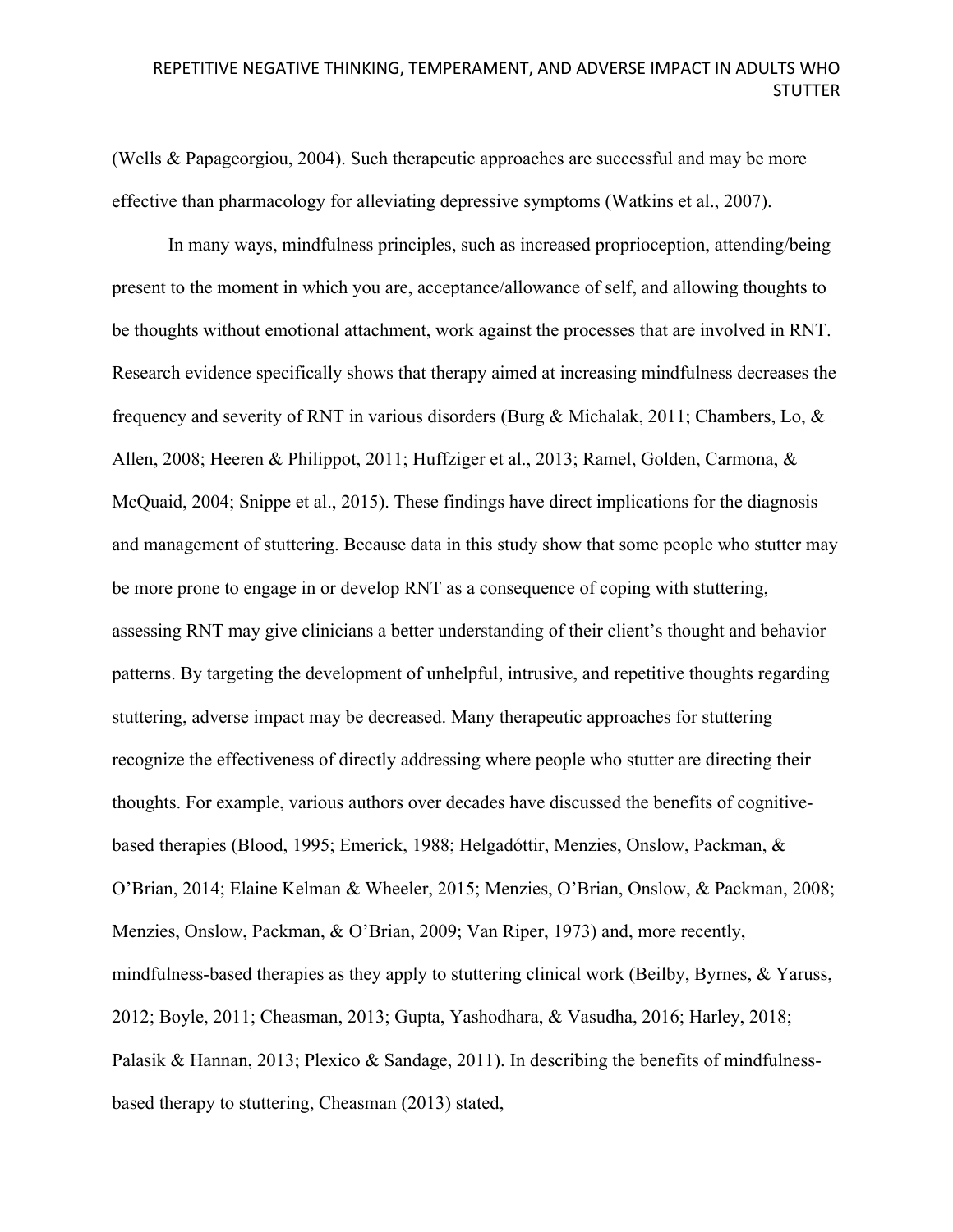(Wells & Papageorgiou, 2004). Such therapeutic approaches are successful and may be more effective than pharmacology for alleviating depressive symptoms (Watkins et al., 2007).

In many ways, mindfulness principles, such as increased proprioception, attending/being present to the moment in which you are, acceptance/allowance of self, and allowing thoughts to be thoughts without emotional attachment, work against the processes that are involved in RNT. Research evidence specifically shows that therapy aimed at increasing mindfulness decreases the frequency and severity of RNT in various disorders (Burg & Michalak, 2011; Chambers, Lo, & Allen, 2008; Heeren & Philippot, 2011; Huffziger et al., 2013; Ramel, Golden, Carmona, & McQuaid, 2004; Snippe et al., 2015). These findings have direct implications for the diagnosis and management of stuttering. Because data in this study show that some people who stutter may be more prone to engage in or develop RNT as a consequence of coping with stuttering, assessing RNT may give clinicians a better understanding of their client's thought and behavior patterns. By targeting the development of unhelpful, intrusive, and repetitive thoughts regarding stuttering, adverse impact may be decreased. Many therapeutic approaches for stuttering recognize the effectiveness of directly addressing where people who stutter are directing their thoughts. For example, various authors over decades have discussed the benefits of cognitivebased therapies (Blood, 1995; Emerick, 1988; Helgadóttir, Menzies, Onslow, Packman, & O'Brian, 2014; Elaine Kelman & Wheeler, 2015; Menzies, O'Brian, Onslow, & Packman, 2008; Menzies, Onslow, Packman, & O'Brian, 2009; Van Riper, 1973) and, more recently, mindfulness-based therapies as they apply to stuttering clinical work (Beilby, Byrnes, & Yaruss, 2012; Boyle, 2011; Cheasman, 2013; Gupta, Yashodhara, & Vasudha, 2016; Harley, 2018; Palasik & Hannan, 2013; Plexico & Sandage, 2011). In describing the benefits of mindfulnessbased therapy to stuttering, Cheasman (2013) stated,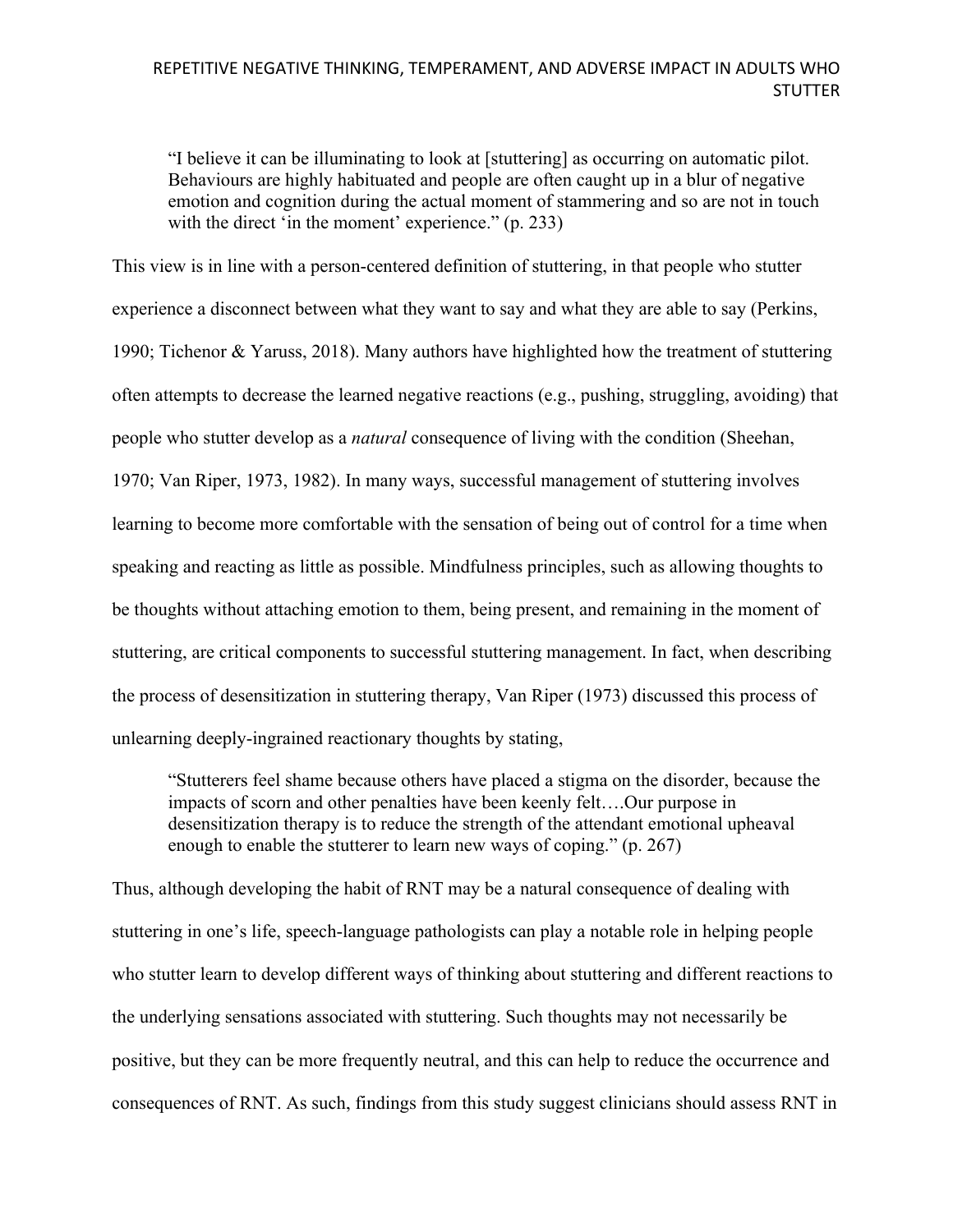"I believe it can be illuminating to look at [stuttering] as occurring on automatic pilot. Behaviours are highly habituated and people are often caught up in a blur of negative emotion and cognition during the actual moment of stammering and so are not in touch with the direct 'in the moment' experience." (p. 233)

This view is in line with a person-centered definition of stuttering, in that people who stutter experience a disconnect between what they want to say and what they are able to say (Perkins, 1990; Tichenor & Yaruss, 2018). Many authors have highlighted how the treatment of stuttering often attempts to decrease the learned negative reactions (e.g., pushing, struggling, avoiding) that people who stutter develop as a *natural* consequence of living with the condition (Sheehan, 1970; Van Riper, 1973, 1982). In many ways, successful management of stuttering involves learning to become more comfortable with the sensation of being out of control for a time when speaking and reacting as little as possible. Mindfulness principles, such as allowing thoughts to be thoughts without attaching emotion to them, being present, and remaining in the moment of stuttering, are critical components to successful stuttering management. In fact, when describing the process of desensitization in stuttering therapy, Van Riper (1973) discussed this process of unlearning deeply-ingrained reactionary thoughts by stating,

"Stutterers feel shame because others have placed a stigma on the disorder, because the impacts of scorn and other penalties have been keenly felt….Our purpose in desensitization therapy is to reduce the strength of the attendant emotional upheaval enough to enable the stutterer to learn new ways of coping." (p. 267)

Thus, although developing the habit of RNT may be a natural consequence of dealing with stuttering in one's life, speech-language pathologists can play a notable role in helping people who stutter learn to develop different ways of thinking about stuttering and different reactions to the underlying sensations associated with stuttering. Such thoughts may not necessarily be positive, but they can be more frequently neutral, and this can help to reduce the occurrence and consequences of RNT. As such, findings from this study suggest clinicians should assess RNT in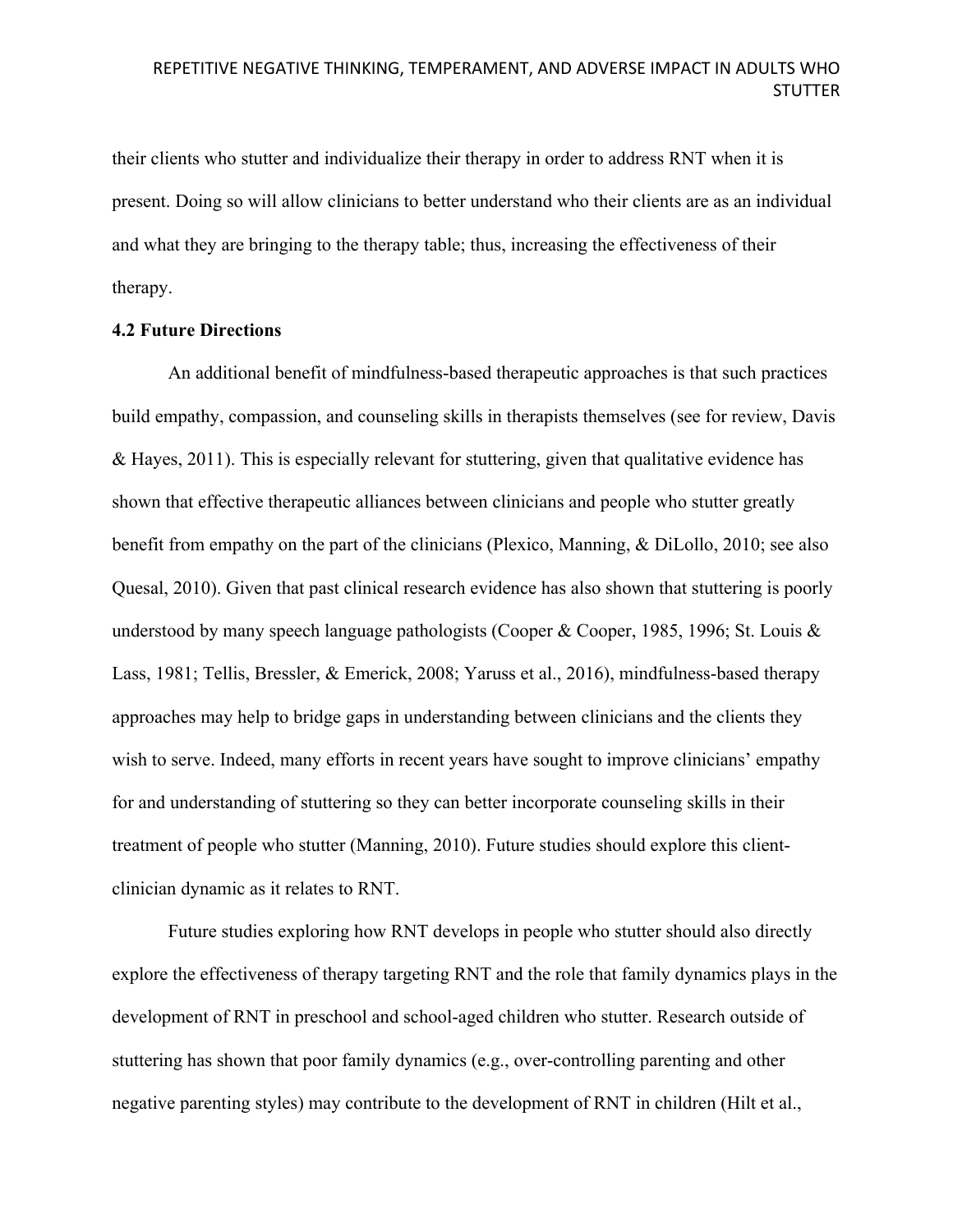their clients who stutter and individualize their therapy in order to address RNT when it is present. Doing so will allow clinicians to better understand who their clients are as an individual and what they are bringing to the therapy table; thus, increasing the effectiveness of their therapy.

### **4.2 Future Directions**

An additional benefit of mindfulness-based therapeutic approaches is that such practices build empathy, compassion, and counseling skills in therapists themselves (see for review, Davis & Hayes, 2011). This is especially relevant for stuttering, given that qualitative evidence has shown that effective therapeutic alliances between clinicians and people who stutter greatly benefit from empathy on the part of the clinicians (Plexico, Manning, & DiLollo, 2010; see also Quesal, 2010). Given that past clinical research evidence has also shown that stuttering is poorly understood by many speech language pathologists (Cooper & Cooper, 1985, 1996; St. Louis & Lass, 1981; Tellis, Bressler, & Emerick, 2008; Yaruss et al., 2016), mindfulness-based therapy approaches may help to bridge gaps in understanding between clinicians and the clients they wish to serve. Indeed, many efforts in recent years have sought to improve clinicians' empathy for and understanding of stuttering so they can better incorporate counseling skills in their treatment of people who stutter (Manning, 2010). Future studies should explore this clientclinician dynamic as it relates to RNT.

Future studies exploring how RNT develops in people who stutter should also directly explore the effectiveness of therapy targeting RNT and the role that family dynamics plays in the development of RNT in preschool and school-aged children who stutter. Research outside of stuttering has shown that poor family dynamics (e.g., over-controlling parenting and other negative parenting styles) may contribute to the development of RNT in children (Hilt et al.,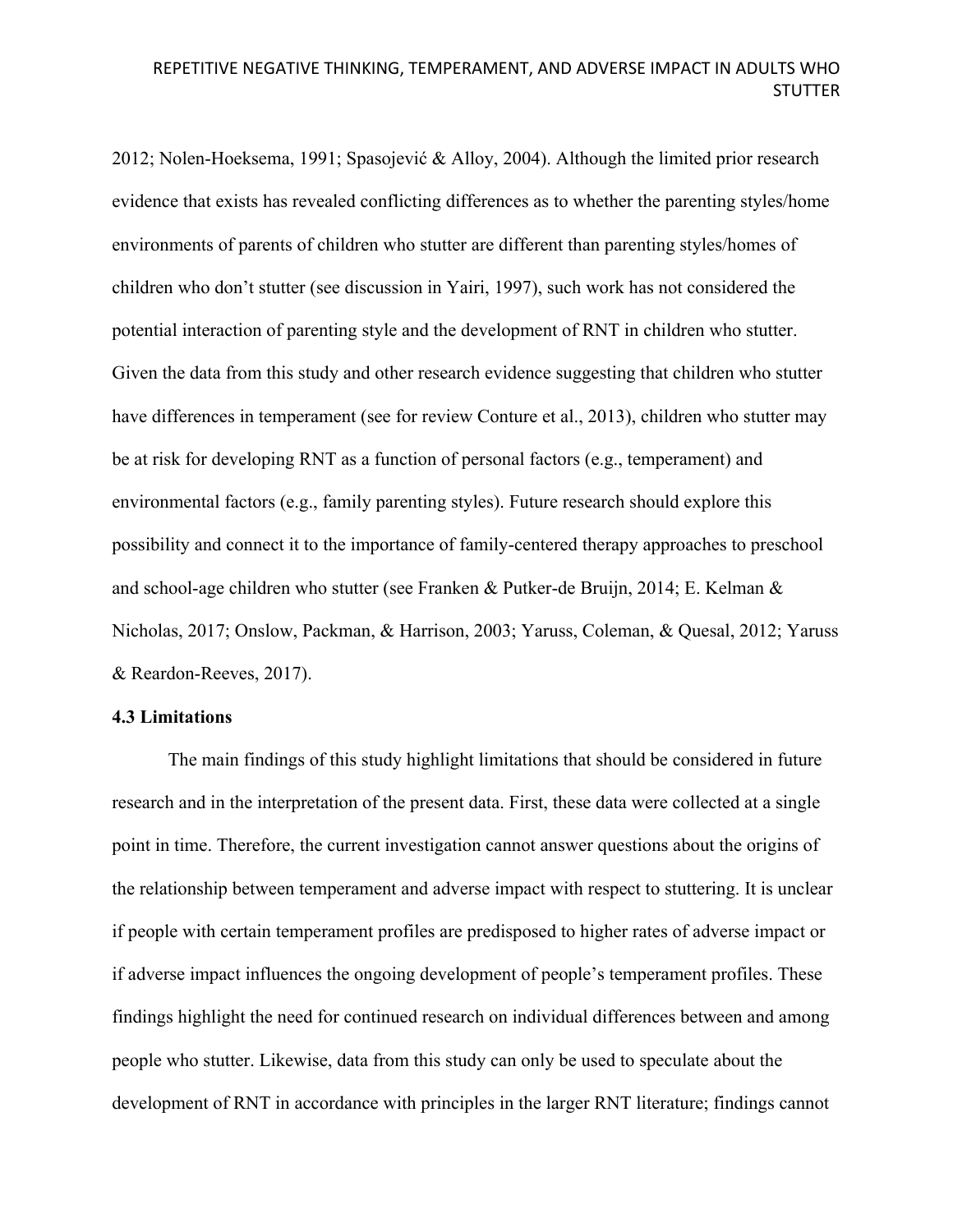2012; Nolen-Hoeksema, 1991; Spasojević & Alloy, 2004). Although the limited prior research evidence that exists has revealed conflicting differences as to whether the parenting styles/home environments of parents of children who stutter are different than parenting styles/homes of children who don't stutter (see discussion in Yairi, 1997), such work has not considered the potential interaction of parenting style and the development of RNT in children who stutter. Given the data from this study and other research evidence suggesting that children who stutter have differences in temperament (see for review Conture et al., 2013), children who stutter may be at risk for developing RNT as a function of personal factors (e.g., temperament) and environmental factors (e.g., family parenting styles). Future research should explore this possibility and connect it to the importance of family-centered therapy approaches to preschool and school-age children who stutter (see Franken & Putker-de Bruijn, 2014; E. Kelman & Nicholas, 2017; Onslow, Packman, & Harrison, 2003; Yaruss, Coleman, & Quesal, 2012; Yaruss & Reardon-Reeves, 2017).

### **4.3 Limitations**

The main findings of this study highlight limitations that should be considered in future research and in the interpretation of the present data. First, these data were collected at a single point in time. Therefore, the current investigation cannot answer questions about the origins of the relationship between temperament and adverse impact with respect to stuttering. It is unclear if people with certain temperament profiles are predisposed to higher rates of adverse impact or if adverse impact influences the ongoing development of people's temperament profiles. These findings highlight the need for continued research on individual differences between and among people who stutter. Likewise, data from this study can only be used to speculate about the development of RNT in accordance with principles in the larger RNT literature; findings cannot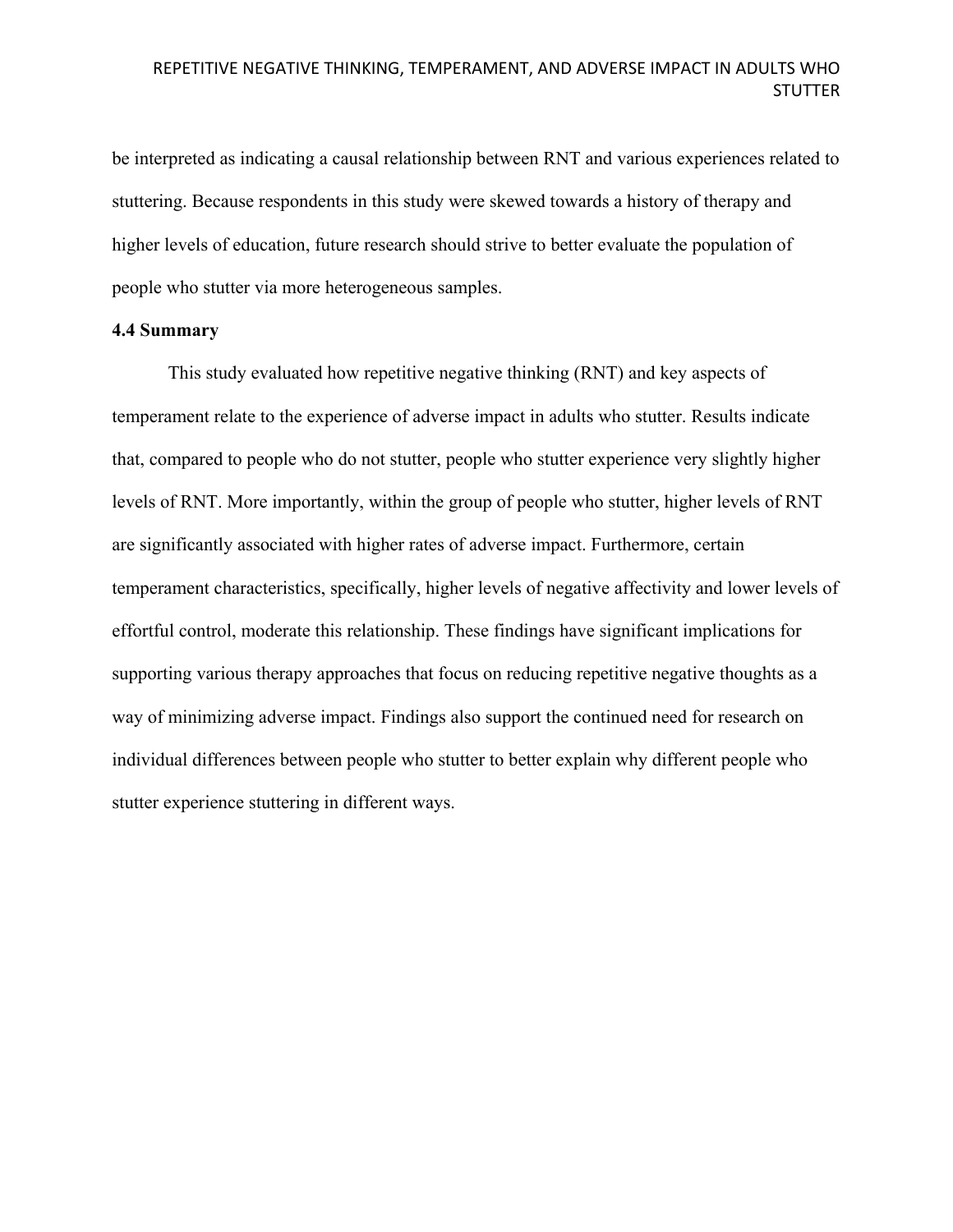be interpreted as indicating a causal relationship between RNT and various experiences related to stuttering. Because respondents in this study were skewed towards a history of therapy and higher levels of education, future research should strive to better evaluate the population of people who stutter via more heterogeneous samples.

### **4.4 Summary**

This study evaluated how repetitive negative thinking (RNT) and key aspects of temperament relate to the experience of adverse impact in adults who stutter. Results indicate that, compared to people who do not stutter, people who stutter experience very slightly higher levels of RNT. More importantly, within the group of people who stutter, higher levels of RNT are significantly associated with higher rates of adverse impact. Furthermore, certain temperament characteristics, specifically, higher levels of negative affectivity and lower levels of effortful control, moderate this relationship. These findings have significant implications for supporting various therapy approaches that focus on reducing repetitive negative thoughts as a way of minimizing adverse impact. Findings also support the continued need for research on individual differences between people who stutter to better explain why different people who stutter experience stuttering in different ways.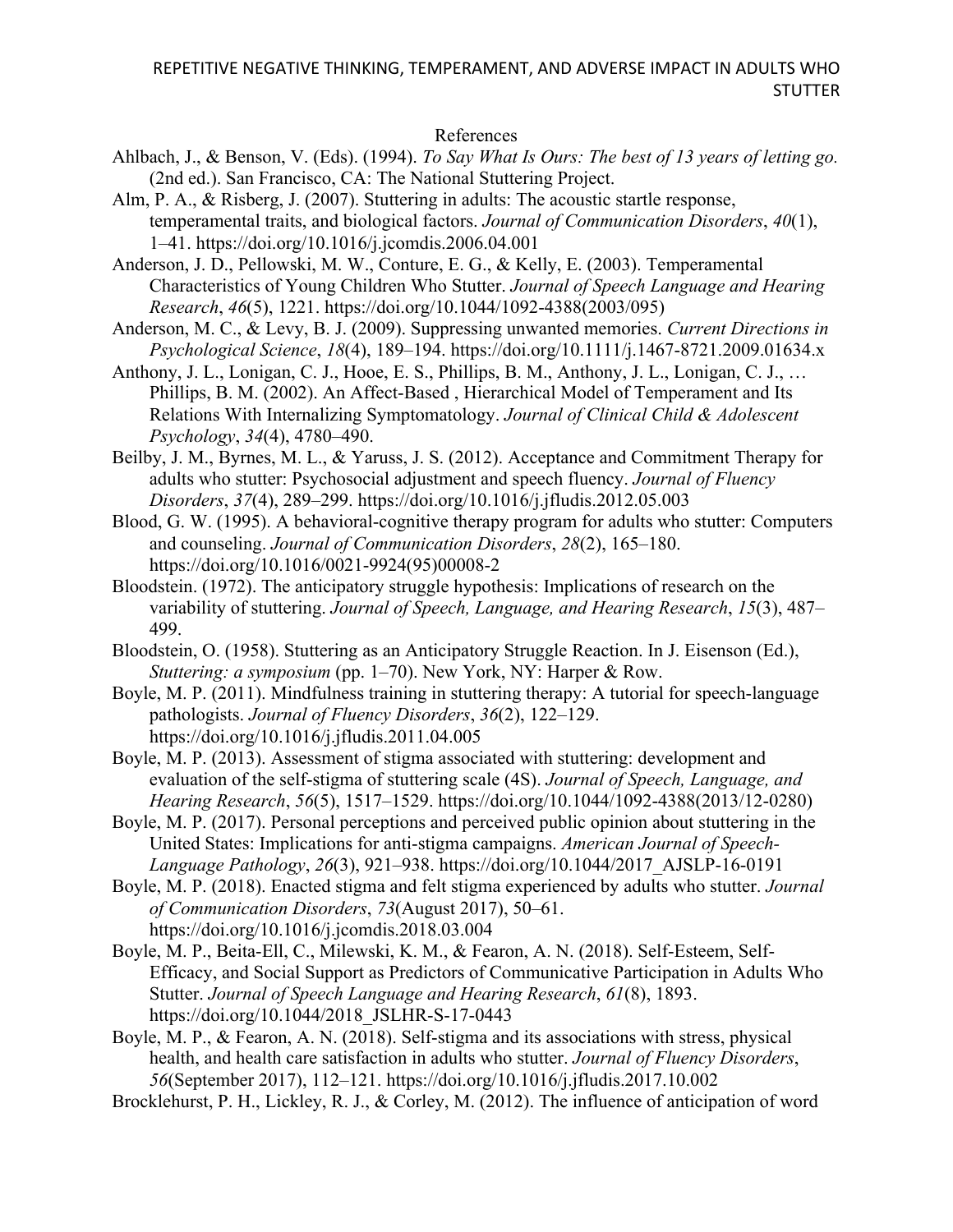### References

- Ahlbach, J., & Benson, V. (Eds). (1994). *To Say What Is Ours: The best of 13 years of letting go.* (2nd ed.). San Francisco, CA: The National Stuttering Project.
- Alm, P. A., & Risberg, J. (2007). Stuttering in adults: The acoustic startle response, temperamental traits, and biological factors. *Journal of Communication Disorders*, *40*(1), 1–41. https://doi.org/10.1016/j.jcomdis.2006.04.001

Anderson, J. D., Pellowski, M. W., Conture, E. G., & Kelly, E. (2003). Temperamental Characteristics of Young Children Who Stutter. *Journal of Speech Language and Hearing Research*, *46*(5), 1221. https://doi.org/10.1044/1092-4388(2003/095)

Anderson, M. C., & Levy, B. J. (2009). Suppressing unwanted memories. *Current Directions in Psychological Science*, *18*(4), 189–194. https://doi.org/10.1111/j.1467-8721.2009.01634.x

Anthony, J. L., Lonigan, C. J., Hooe, E. S., Phillips, B. M., Anthony, J. L., Lonigan, C. J., … Phillips, B. M. (2002). An Affect-Based , Hierarchical Model of Temperament and Its Relations With Internalizing Symptomatology. *Journal of Clinical Child & Adolescent Psychology*, *34*(4), 4780–490.

Beilby, J. M., Byrnes, M. L., & Yaruss, J. S. (2012). Acceptance and Commitment Therapy for adults who stutter: Psychosocial adjustment and speech fluency. *Journal of Fluency Disorders*, *37*(4), 289–299. https://doi.org/10.1016/j.jfludis.2012.05.003

Blood, G. W. (1995). A behavioral-cognitive therapy program for adults who stutter: Computers and counseling. *Journal of Communication Disorders*, *28*(2), 165–180. https://doi.org/10.1016/0021-9924(95)00008-2

- Bloodstein. (1972). The anticipatory struggle hypothesis: Implications of research on the variability of stuttering. *Journal of Speech, Language, and Hearing Research*, *15*(3), 487– 499.
- Bloodstein, O. (1958). Stuttering as an Anticipatory Struggle Reaction. In J. Eisenson (Ed.), *Stuttering: a symposium* (pp. 1–70). New York, NY: Harper & Row.

Boyle, M. P. (2011). Mindfulness training in stuttering therapy: A tutorial for speech-language pathologists. *Journal of Fluency Disorders*, *36*(2), 122–129. https://doi.org/10.1016/j.jfludis.2011.04.005

Boyle, M. P. (2013). Assessment of stigma associated with stuttering: development and evaluation of the self-stigma of stuttering scale (4S). *Journal of Speech, Language, and Hearing Research*, *56*(5), 1517–1529. https://doi.org/10.1044/1092-4388(2013/12-0280)

Boyle, M. P. (2017). Personal perceptions and perceived public opinion about stuttering in the United States: Implications for anti-stigma campaigns. *American Journal of Speech-Language Pathology*, *26*(3), 921–938. https://doi.org/10.1044/2017\_AJSLP-16-0191

Boyle, M. P. (2018). Enacted stigma and felt stigma experienced by adults who stutter. *Journal of Communication Disorders*, *73*(August 2017), 50–61. https://doi.org/10.1016/j.jcomdis.2018.03.004

Boyle, M. P., Beita-Ell, C., Milewski, K. M., & Fearon, A. N. (2018). Self-Esteem, Self-Efficacy, and Social Support as Predictors of Communicative Participation in Adults Who Stutter. *Journal of Speech Language and Hearing Research*, *61*(8), 1893. https://doi.org/10.1044/2018 JSLHR-S-17-0443

Boyle, M. P., & Fearon, A. N. (2018). Self-stigma and its associations with stress, physical health, and health care satisfaction in adults who stutter. *Journal of Fluency Disorders*, *56*(September 2017), 112–121. https://doi.org/10.1016/j.jfludis.2017.10.002

Brocklehurst, P. H., Lickley, R. J., & Corley, M. (2012). The influence of anticipation of word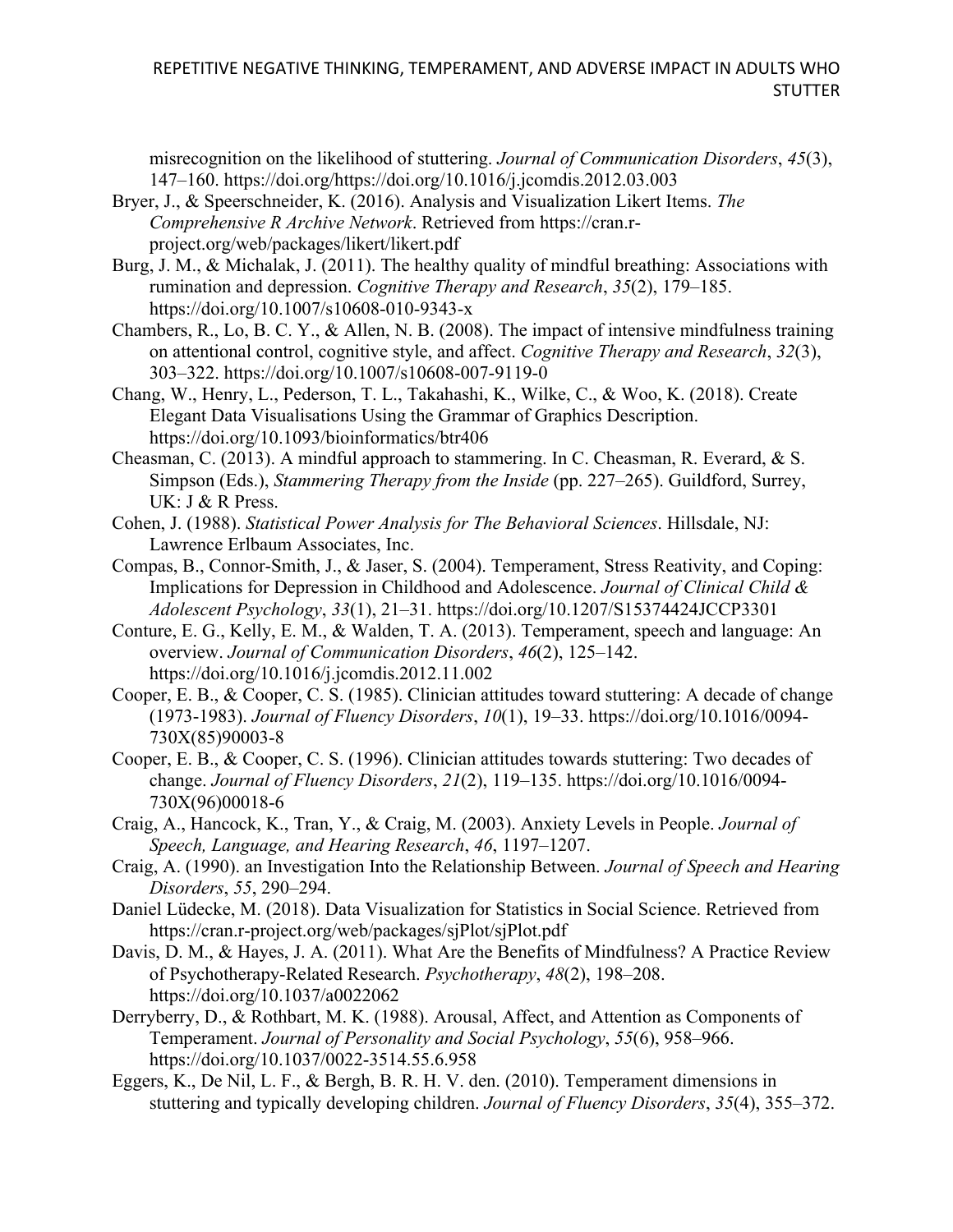misrecognition on the likelihood of stuttering. *Journal of Communication Disorders*, *45*(3), 147–160. https://doi.org/https://doi.org/10.1016/j.jcomdis.2012.03.003

- Bryer, J., & Speerschneider, K. (2016). Analysis and Visualization Likert Items. *The Comprehensive R Archive Network*. Retrieved from https://cran.rproject.org/web/packages/likert/likert.pdf
- Burg, J. M., & Michalak, J. (2011). The healthy quality of mindful breathing: Associations with rumination and depression. *Cognitive Therapy and Research*, *35*(2), 179–185. https://doi.org/10.1007/s10608-010-9343-x
- Chambers, R., Lo, B. C. Y., & Allen, N. B. (2008). The impact of intensive mindfulness training on attentional control, cognitive style, and affect. *Cognitive Therapy and Research*, *32*(3), 303–322. https://doi.org/10.1007/s10608-007-9119-0
- Chang, W., Henry, L., Pederson, T. L., Takahashi, K., Wilke, C., & Woo, K. (2018). Create Elegant Data Visualisations Using the Grammar of Graphics Description. https://doi.org/10.1093/bioinformatics/btr406
- Cheasman, C. (2013). A mindful approach to stammering. In C. Cheasman, R. Everard, & S. Simpson (Eds.), *Stammering Therapy from the Inside* (pp. 227–265). Guildford, Surrey, UK: J & R Press.
- Cohen, J. (1988). *Statistical Power Analysis for The Behavioral Sciences*. Hillsdale, NJ: Lawrence Erlbaum Associates, Inc.
- Compas, B., Connor-Smith, J., & Jaser, S. (2004). Temperament, Stress Reativity, and Coping: Implications for Depression in Childhood and Adolescence. *Journal of Clinical Child & Adolescent Psychology*, *33*(1), 21–31. https://doi.org/10.1207/S15374424JCCP3301
- Conture, E. G., Kelly, E. M., & Walden, T. A. (2013). Temperament, speech and language: An overview. *Journal of Communication Disorders*, *46*(2), 125–142. https://doi.org/10.1016/j.jcomdis.2012.11.002
- Cooper, E. B., & Cooper, C. S. (1985). Clinician attitudes toward stuttering: A decade of change (1973-1983). *Journal of Fluency Disorders*, *10*(1), 19–33. https://doi.org/10.1016/0094- 730X(85)90003-8
- Cooper, E. B., & Cooper, C. S. (1996). Clinician attitudes towards stuttering: Two decades of change. *Journal of Fluency Disorders*, *21*(2), 119–135. https://doi.org/10.1016/0094- 730X(96)00018-6
- Craig, A., Hancock, K., Tran, Y., & Craig, M. (2003). Anxiety Levels in People. *Journal of Speech, Language, and Hearing Research*, *46*, 1197–1207.
- Craig, A. (1990). an Investigation Into the Relationship Between. *Journal of Speech and Hearing Disorders*, *55*, 290–294.
- Daniel Lüdecke, M. (2018). Data Visualization for Statistics in Social Science. Retrieved from https://cran.r-project.org/web/packages/sjPlot/sjPlot.pdf
- Davis, D. M., & Hayes, J. A. (2011). What Are the Benefits of Mindfulness? A Practice Review of Psychotherapy-Related Research. *Psychotherapy*, *48*(2), 198–208. https://doi.org/10.1037/a0022062
- Derryberry, D., & Rothbart, M. K. (1988). Arousal, Affect, and Attention as Components of Temperament. *Journal of Personality and Social Psychology*, *55*(6), 958–966. https://doi.org/10.1037/0022-3514.55.6.958
- Eggers, K., De Nil, L. F., & Bergh, B. R. H. V. den. (2010). Temperament dimensions in stuttering and typically developing children. *Journal of Fluency Disorders*, *35*(4), 355–372.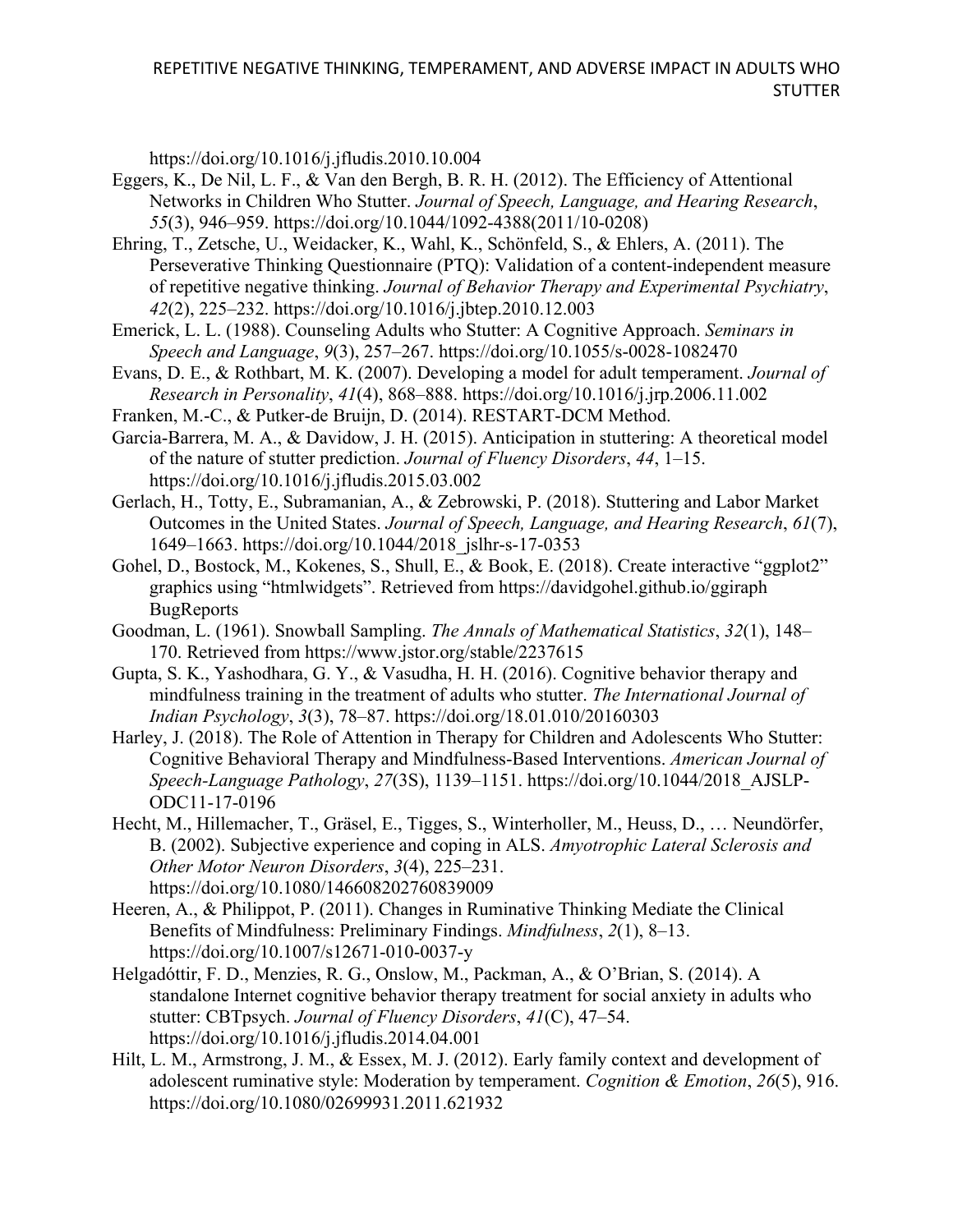https://doi.org/10.1016/j.jfludis.2010.10.004

- Eggers, K., De Nil, L. F., & Van den Bergh, B. R. H. (2012). The Efficiency of Attentional Networks in Children Who Stutter. *Journal of Speech, Language, and Hearing Research*, *55*(3), 946–959. https://doi.org/10.1044/1092-4388(2011/10-0208)
- Ehring, T., Zetsche, U., Weidacker, K., Wahl, K., Schönfeld, S., & Ehlers, A. (2011). The Perseverative Thinking Questionnaire (PTQ): Validation of a content-independent measure of repetitive negative thinking. *Journal of Behavior Therapy and Experimental Psychiatry*, *42*(2), 225–232. https://doi.org/10.1016/j.jbtep.2010.12.003
- Emerick, L. L. (1988). Counseling Adults who Stutter: A Cognitive Approach. *Seminars in Speech and Language*, *9*(3), 257–267. https://doi.org/10.1055/s-0028-1082470
- Evans, D. E., & Rothbart, M. K. (2007). Developing a model for adult temperament. *Journal of Research in Personality*, *41*(4), 868–888. https://doi.org/10.1016/j.jrp.2006.11.002
- Franken, M.-C., & Putker-de Bruijn, D. (2014). RESTART-DCM Method.
- Garcia-Barrera, M. A., & Davidow, J. H. (2015). Anticipation in stuttering: A theoretical model of the nature of stutter prediction. *Journal of Fluency Disorders*, *44*, 1–15. https://doi.org/10.1016/j.jfludis.2015.03.002
- Gerlach, H., Totty, E., Subramanian, A., & Zebrowski, P. (2018). Stuttering and Labor Market Outcomes in the United States. *Journal of Speech, Language, and Hearing Research*, *61*(7), 1649–1663. https://doi.org/10.1044/2018\_jslhr-s-17-0353
- Gohel, D., Bostock, M., Kokenes, S., Shull, E., & Book, E. (2018). Create interactive "ggplot2" graphics using "htmlwidgets". Retrieved from https://davidgohel.github.io/ggiraph **BugReports**
- Goodman, L. (1961). Snowball Sampling. *The Annals of Mathematical Statistics*, *32*(1), 148– 170. Retrieved from https://www.jstor.org/stable/2237615
- Gupta, S. K., Yashodhara, G. Y., & Vasudha, H. H. (2016). Cognitive behavior therapy and mindfulness training in the treatment of adults who stutter. *The International Journal of Indian Psychology*, *3*(3), 78–87. https://doi.org/18.01.010/20160303
- Harley, J. (2018). The Role of Attention in Therapy for Children and Adolescents Who Stutter: Cognitive Behavioral Therapy and Mindfulness-Based Interventions. *American Journal of Speech-Language Pathology*, *27*(3S), 1139–1151. https://doi.org/10.1044/2018\_AJSLP-ODC11-17-0196
- Hecht, M., Hillemacher, T., Gräsel, E., Tigges, S., Winterholler, M., Heuss, D., … Neundörfer, B. (2002). Subjective experience and coping in ALS. *Amyotrophic Lateral Sclerosis and Other Motor Neuron Disorders*, *3*(4), 225–231. https://doi.org/10.1080/146608202760839009
- Heeren, A., & Philippot, P. (2011). Changes in Ruminative Thinking Mediate the Clinical Benefits of Mindfulness: Preliminary Findings. *Mindfulness*, *2*(1), 8–13. https://doi.org/10.1007/s12671-010-0037-y
- Helgadóttir, F. D., Menzies, R. G., Onslow, M., Packman, A., & O'Brian, S. (2014). A standalone Internet cognitive behavior therapy treatment for social anxiety in adults who stutter: CBTpsych. *Journal of Fluency Disorders*, *41*(C), 47–54. https://doi.org/10.1016/j.jfludis.2014.04.001
- Hilt, L. M., Armstrong, J. M., & Essex, M. J. (2012). Early family context and development of adolescent ruminative style: Moderation by temperament. *Cognition & Emotion*, *26*(5), 916. https://doi.org/10.1080/02699931.2011.621932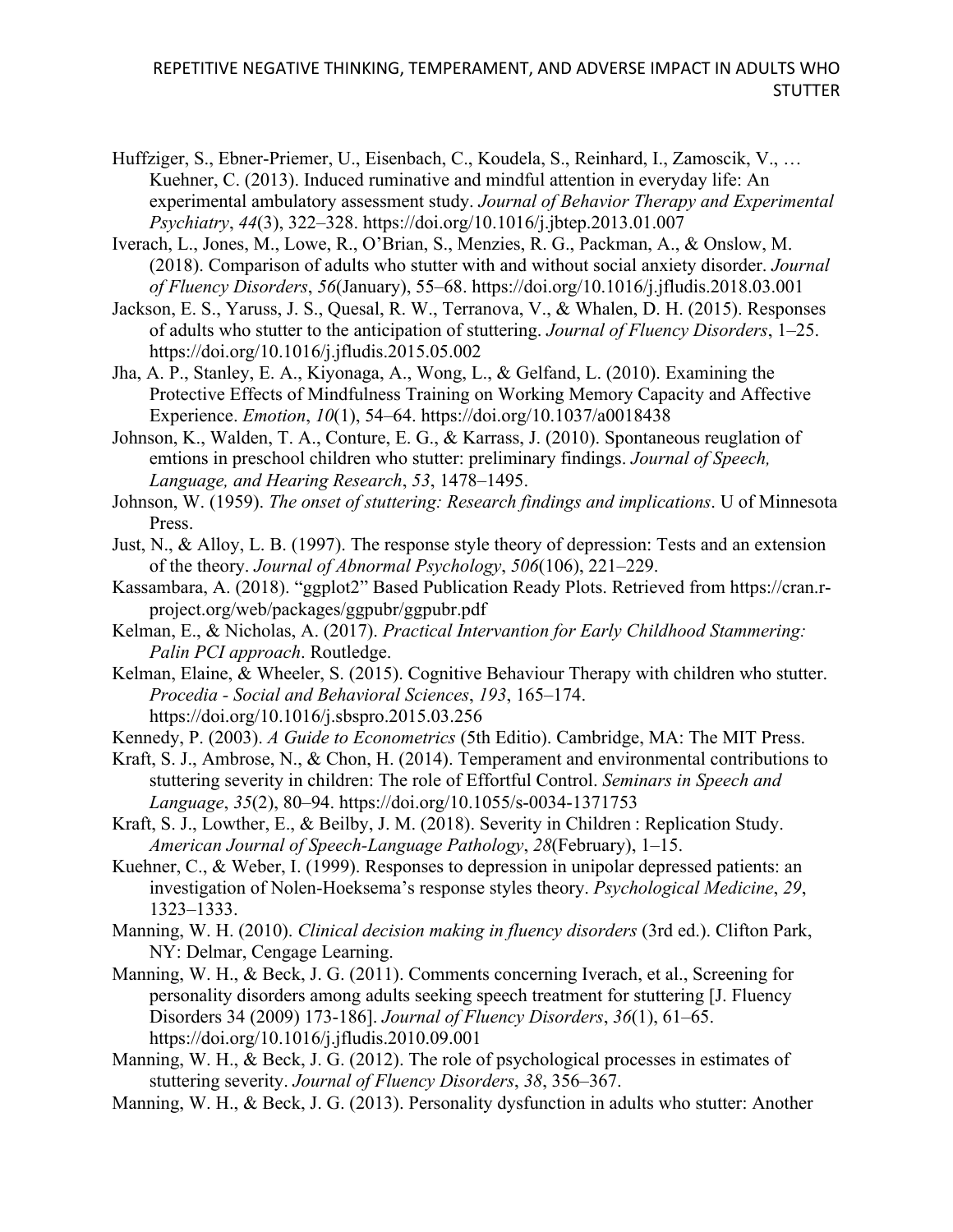- Huffziger, S., Ebner-Priemer, U., Eisenbach, C., Koudela, S., Reinhard, I., Zamoscik, V., … Kuehner, C. (2013). Induced ruminative and mindful attention in everyday life: An experimental ambulatory assessment study. *Journal of Behavior Therapy and Experimental Psychiatry*, *44*(3), 322–328. https://doi.org/10.1016/j.jbtep.2013.01.007
- Iverach, L., Jones, M., Lowe, R., O'Brian, S., Menzies, R. G., Packman, A., & Onslow, M. (2018). Comparison of adults who stutter with and without social anxiety disorder. *Journal of Fluency Disorders*, *56*(January), 55–68. https://doi.org/10.1016/j.jfludis.2018.03.001
- Jackson, E. S., Yaruss, J. S., Quesal, R. W., Terranova, V., & Whalen, D. H. (2015). Responses of adults who stutter to the anticipation of stuttering. *Journal of Fluency Disorders*, 1–25. https://doi.org/10.1016/j.jfludis.2015.05.002
- Jha, A. P., Stanley, E. A., Kiyonaga, A., Wong, L., & Gelfand, L. (2010). Examining the Protective Effects of Mindfulness Training on Working Memory Capacity and Affective Experience. *Emotion*, *10*(1), 54–64. https://doi.org/10.1037/a0018438
- Johnson, K., Walden, T. A., Conture, E. G., & Karrass, J. (2010). Spontaneous reuglation of emtions in preschool children who stutter: preliminary findings. *Journal of Speech, Language, and Hearing Research*, *53*, 1478–1495.
- Johnson, W. (1959). *The onset of stuttering: Research findings and implications*. U of Minnesota Press.
- Just, N., & Alloy, L. B. (1997). The response style theory of depression: Tests and an extension of the theory. *Journal of Abnormal Psychology*, *506*(106), 221–229.
- Kassambara, A. (2018). "ggplot2" Based Publication Ready Plots. Retrieved from https://cran.rproject.org/web/packages/ggpubr/ggpubr.pdf
- Kelman, E., & Nicholas, A. (2017). *Practical Intervantion for Early Childhood Stammering: Palin PCI approach*. Routledge.
- Kelman, Elaine, & Wheeler, S. (2015). Cognitive Behaviour Therapy with children who stutter. *Procedia - Social and Behavioral Sciences*, *193*, 165–174. https://doi.org/10.1016/j.sbspro.2015.03.256
- Kennedy, P. (2003). *A Guide to Econometrics* (5th Editio). Cambridge, MA: The MIT Press.
- Kraft, S. J., Ambrose, N., & Chon, H. (2014). Temperament and environmental contributions to stuttering severity in children: The role of Effortful Control. *Seminars in Speech and Language*, *35*(2), 80–94. https://doi.org/10.1055/s-0034-1371753
- Kraft, S. J., Lowther, E., & Beilby, J. M. (2018). Severity in Children : Replication Study. *American Journal of Speech-Language Pathology*, *28*(February), 1–15.
- Kuehner, C., & Weber, I. (1999). Responses to depression in unipolar depressed patients: an investigation of Nolen-Hoeksema's response styles theory. *Psychological Medicine*, *29*, 1323–1333.
- Manning, W. H. (2010). *Clinical decision making in fluency disorders* (3rd ed.). Clifton Park, NY: Delmar, Cengage Learning.
- Manning, W. H., & Beck, J. G. (2011). Comments concerning Iverach, et al., Screening for personality disorders among adults seeking speech treatment for stuttering [J. Fluency Disorders 34 (2009) 173-186]. *Journal of Fluency Disorders*, *36*(1), 61–65. https://doi.org/10.1016/j.jfludis.2010.09.001
- Manning, W. H., & Beck, J. G. (2012). The role of psychological processes in estimates of stuttering severity. *Journal of Fluency Disorders*, *38*, 356–367.
- Manning, W. H., & Beck, J. G. (2013). Personality dysfunction in adults who stutter: Another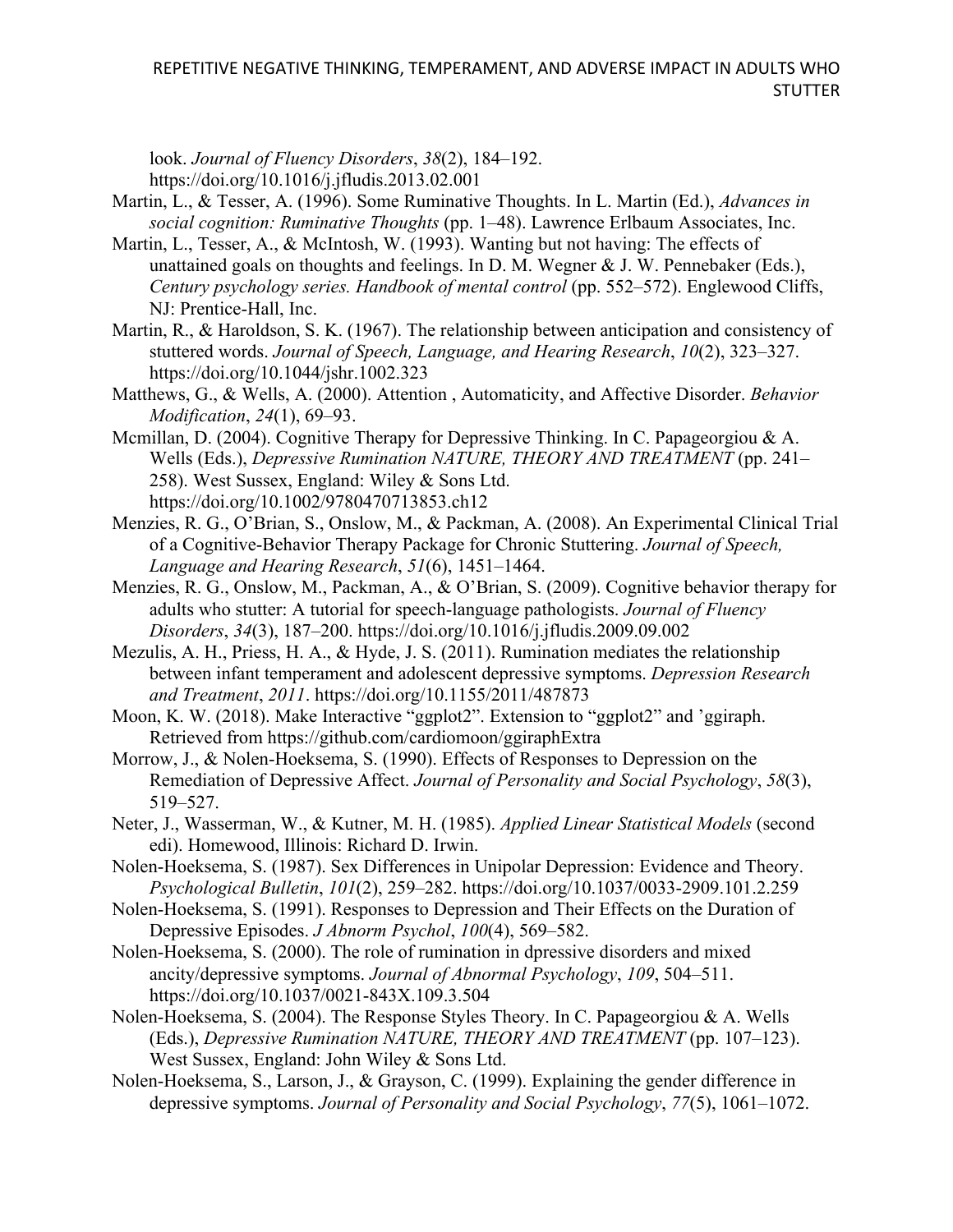look. *Journal of Fluency Disorders*, *38*(2), 184–192. https://doi.org/10.1016/j.jfludis.2013.02.001

- Martin, L., & Tesser, A. (1996). Some Ruminative Thoughts. In L. Martin (Ed.), *Advances in social cognition: Ruminative Thoughts* (pp. 1–48). Lawrence Erlbaum Associates, Inc.
- Martin, L., Tesser, A., & McIntosh, W. (1993). Wanting but not having: The effects of unattained goals on thoughts and feelings. In D. M. Wegner & J. W. Pennebaker (Eds.), *Century psychology series. Handbook of mental control* (pp. 552–572). Englewood Cliffs, NJ: Prentice-Hall, Inc.
- Martin, R., & Haroldson, S. K. (1967). The relationship between anticipation and consistency of stuttered words. *Journal of Speech, Language, and Hearing Research*, *10*(2), 323–327. https://doi.org/10.1044/jshr.1002.323
- Matthews, G., & Wells, A. (2000). Attention , Automaticity, and Affective Disorder. *Behavior Modification*, *24*(1), 69–93.
- Mcmillan, D. (2004). Cognitive Therapy for Depressive Thinking. In C. Papageorgiou & A. Wells (Eds.), *Depressive Rumination NATURE, THEORY AND TREATMENT* (pp. 241– 258). West Sussex, England: Wiley & Sons Ltd. https://doi.org/10.1002/9780470713853.ch12
- Menzies, R. G., O'Brian, S., Onslow, M., & Packman, A. (2008). An Experimental Clinical Trial of a Cognitive-Behavior Therapy Package for Chronic Stuttering. *Journal of Speech, Language and Hearing Research*, *51*(6), 1451–1464.
- Menzies, R. G., Onslow, M., Packman, A., & O'Brian, S. (2009). Cognitive behavior therapy for adults who stutter: A tutorial for speech-language pathologists. *Journal of Fluency Disorders*, *34*(3), 187–200. https://doi.org/10.1016/j.jfludis.2009.09.002
- Mezulis, A. H., Priess, H. A., & Hyde, J. S. (2011). Rumination mediates the relationship between infant temperament and adolescent depressive symptoms. *Depression Research and Treatment*, *2011*. https://doi.org/10.1155/2011/487873
- Moon, K. W. (2018). Make Interactive "ggplot2". Extension to "ggplot2" and 'ggiraph. Retrieved from https://github.com/cardiomoon/ggiraphExtra
- Morrow, J., & Nolen-Hoeksema, S. (1990). Effects of Responses to Depression on the Remediation of Depressive Affect. *Journal of Personality and Social Psychology*, *58*(3), 519–527.
- Neter, J., Wasserman, W., & Kutner, M. H. (1985). *Applied Linear Statistical Models* (second edi). Homewood, Illinois: Richard D. Irwin.
- Nolen-Hoeksema, S. (1987). Sex Differences in Unipolar Depression: Evidence and Theory. *Psychological Bulletin*, *101*(2), 259–282. https://doi.org/10.1037/0033-2909.101.2.259
- Nolen-Hoeksema, S. (1991). Responses to Depression and Their Effects on the Duration of Depressive Episodes. *J Abnorm Psychol*, *100*(4), 569–582.
- Nolen-Hoeksema, S. (2000). The role of rumination in dpressive disorders and mixed ancity/depressive symptoms. *Journal of Abnormal Psychology*, *109*, 504–511. https://doi.org/10.1037/0021-843X.109.3.504
- Nolen-Hoeksema, S. (2004). The Response Styles Theory. In C. Papageorgiou & A. Wells (Eds.), *Depressive Rumination NATURE, THEORY AND TREATMENT* (pp. 107–123). West Sussex, England: John Wiley & Sons Ltd.
- Nolen-Hoeksema, S., Larson, J., & Grayson, C. (1999). Explaining the gender difference in depressive symptoms. *Journal of Personality and Social Psychology*, *77*(5), 1061–1072.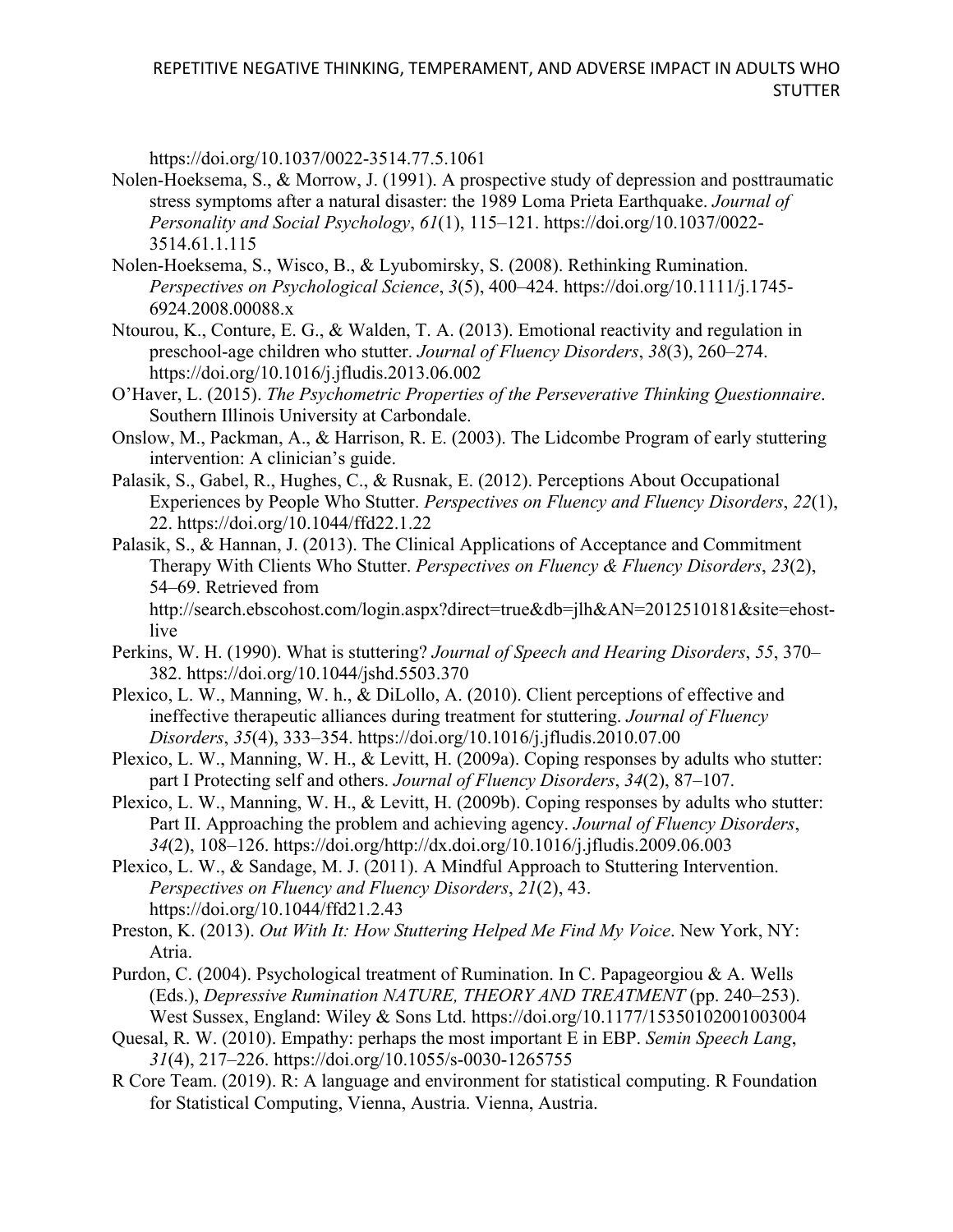https://doi.org/10.1037/0022-3514.77.5.1061

- Nolen-Hoeksema, S., & Morrow, J. (1991). A prospective study of depression and posttraumatic stress symptoms after a natural disaster: the 1989 Loma Prieta Earthquake. *Journal of Personality and Social Psychology*, *61*(1), 115–121. https://doi.org/10.1037/0022- 3514.61.1.115
- Nolen-Hoeksema, S., Wisco, B., & Lyubomirsky, S. (2008). Rethinking Rumination. *Perspectives on Psychological Science*, *3*(5), 400–424. https://doi.org/10.1111/j.1745- 6924.2008.00088.x
- Ntourou, K., Conture, E. G., & Walden, T. A. (2013). Emotional reactivity and regulation in preschool-age children who stutter. *Journal of Fluency Disorders*, *38*(3), 260–274. https://doi.org/10.1016/j.jfludis.2013.06.002
- O'Haver, L. (2015). *The Psychometric Properties of the Perseverative Thinking Questionnaire*. Southern Illinois University at Carbondale.
- Onslow, M., Packman, A., & Harrison, R. E. (2003). The Lidcombe Program of early stuttering intervention: A clinician's guide.
- Palasik, S., Gabel, R., Hughes, C., & Rusnak, E. (2012). Perceptions About Occupational Experiences by People Who Stutter. *Perspectives on Fluency and Fluency Disorders*, *22*(1), 22. https://doi.org/10.1044/ffd22.1.22
- Palasik, S., & Hannan, J. (2013). The Clinical Applications of Acceptance and Commitment Therapy With Clients Who Stutter. *Perspectives on Fluency & Fluency Disorders*, *23*(2), 54–69. Retrieved from http://search.ebscohost.com/login.aspx?direct=true&db=jlh&AN=2012510181&site=ehost-

live

- Perkins, W. H. (1990). What is stuttering? *Journal of Speech and Hearing Disorders*, *55*, 370– 382. https://doi.org/10.1044/jshd.5503.370
- Plexico, L. W., Manning, W. h., & DiLollo, A. (2010). Client perceptions of effective and ineffective therapeutic alliances during treatment for stuttering. *Journal of Fluency Disorders*, *35*(4), 333–354. https://doi.org/10.1016/j.jfludis.2010.07.00
- Plexico, L. W., Manning, W. H., & Levitt, H. (2009a). Coping responses by adults who stutter: part I Protecting self and others. *Journal of Fluency Disorders*, *34*(2), 87–107.
- Plexico, L. W., Manning, W. H., & Levitt, H. (2009b). Coping responses by adults who stutter: Part II. Approaching the problem and achieving agency. *Journal of Fluency Disorders*, *34*(2), 108–126. https://doi.org/http://dx.doi.org/10.1016/j.jfludis.2009.06.003
- Plexico, L. W., & Sandage, M. J. (2011). A Mindful Approach to Stuttering Intervention. *Perspectives on Fluency and Fluency Disorders*, *21*(2), 43. https://doi.org/10.1044/ffd21.2.43
- Preston, K. (2013). *Out With It: How Stuttering Helped Me Find My Voice*. New York, NY: Atria.
- Purdon, C. (2004). Psychological treatment of Rumination. In C. Papageorgiou & A. Wells (Eds.), *Depressive Rumination NATURE, THEORY AND TREATMENT* (pp. 240–253). West Sussex, England: Wiley & Sons Ltd. https://doi.org/10.1177/15350102001003004
- Quesal, R. W. (2010). Empathy: perhaps the most important E in EBP. *Semin Speech Lang*, *31*(4), 217–226. https://doi.org/10.1055/s-0030-1265755
- R Core Team. (2019). R: A language and environment for statistical computing. R Foundation for Statistical Computing, Vienna, Austria. Vienna, Austria.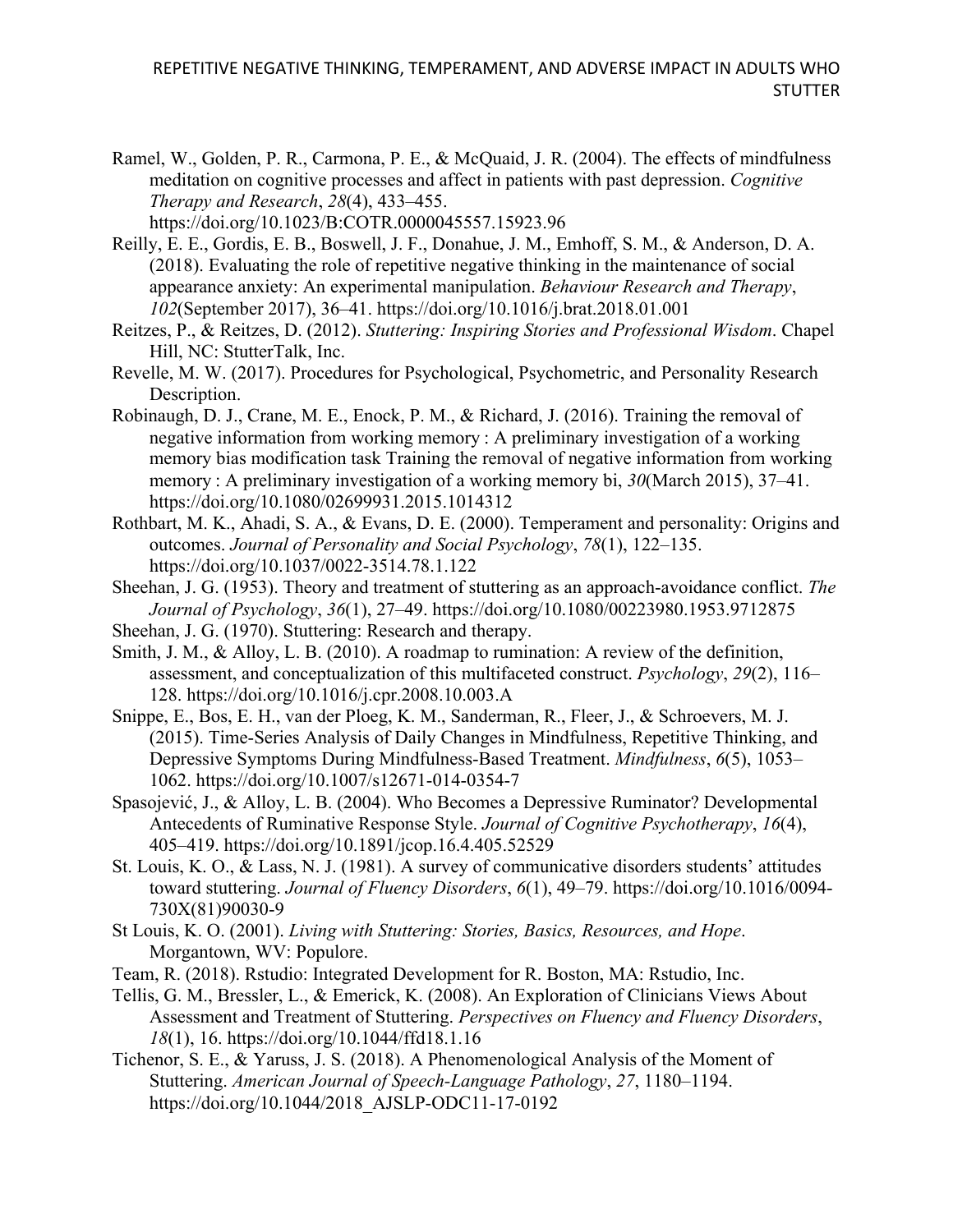- Ramel, W., Golden, P. R., Carmona, P. E., & McQuaid, J. R. (2004). The effects of mindfulness meditation on cognitive processes and affect in patients with past depression. *Cognitive Therapy and Research*, *28*(4), 433–455. https://doi.org/10.1023/B:COTR.0000045557.15923.96
- Reilly, E. E., Gordis, E. B., Boswell, J. F., Donahue, J. M., Emhoff, S. M., & Anderson, D. A. (2018). Evaluating the role of repetitive negative thinking in the maintenance of social appearance anxiety: An experimental manipulation. *Behaviour Research and Therapy*, *102*(September 2017), 36–41. https://doi.org/10.1016/j.brat.2018.01.001
- Reitzes, P., & Reitzes, D. (2012). *Stuttering: Inspiring Stories and Professional Wisdom*. Chapel Hill, NC: StutterTalk, Inc.
- Revelle, M. W. (2017). Procedures for Psychological, Psychometric, and Personality Research Description.
- Robinaugh, D. J., Crane, M. E., Enock, P. M., & Richard, J. (2016). Training the removal of negative information from working memory : A preliminary investigation of a working memory bias modification task Training the removal of negative information from working memory : A preliminary investigation of a working memory bi, *30*(March 2015), 37–41. https://doi.org/10.1080/02699931.2015.1014312
- Rothbart, M. K., Ahadi, S. A., & Evans, D. E. (2000). Temperament and personality: Origins and outcomes. *Journal of Personality and Social Psychology*, *78*(1), 122–135. https://doi.org/10.1037/0022-3514.78.1.122
- Sheehan, J. G. (1953). Theory and treatment of stuttering as an approach-avoidance conflict. *The Journal of Psychology*, *36*(1), 27–49. https://doi.org/10.1080/00223980.1953.9712875
- Sheehan, J. G. (1970). Stuttering: Research and therapy.
- Smith, J. M., & Alloy, L. B. (2010). A roadmap to rumination: A review of the definition, assessment, and conceptualization of this multifaceted construct. *Psychology*, *29*(2), 116– 128. https://doi.org/10.1016/j.cpr.2008.10.003.A
- Snippe, E., Bos, E. H., van der Ploeg, K. M., Sanderman, R., Fleer, J., & Schroevers, M. J. (2015). Time-Series Analysis of Daily Changes in Mindfulness, Repetitive Thinking, and Depressive Symptoms During Mindfulness-Based Treatment. *Mindfulness*, *6*(5), 1053– 1062. https://doi.org/10.1007/s12671-014-0354-7
- Spasojević, J., & Alloy, L. B. (2004). Who Becomes a Depressive Ruminator? Developmental Antecedents of Ruminative Response Style. *Journal of Cognitive Psychotherapy*, *16*(4), 405–419. https://doi.org/10.1891/jcop.16.4.405.52529
- St. Louis, K. O., & Lass, N. J. (1981). A survey of communicative disorders students' attitudes toward stuttering. *Journal of Fluency Disorders*, *6*(1), 49–79. https://doi.org/10.1016/0094- 730X(81)90030-9
- St Louis, K. O. (2001). *Living with Stuttering: Stories, Basics, Resources, and Hope*. Morgantown, WV: Populore.
- Team, R. (2018). Rstudio: Integrated Development for R. Boston, MA: Rstudio, Inc.
- Tellis, G. M., Bressler, L., & Emerick, K. (2008). An Exploration of Clinicians Views About Assessment and Treatment of Stuttering. *Perspectives on Fluency and Fluency Disorders*, *18*(1), 16. https://doi.org/10.1044/ffd18.1.16
- Tichenor, S. E., & Yaruss, J. S. (2018). A Phenomenological Analysis of the Moment of Stuttering. *American Journal of Speech-Language Pathology*, *27*, 1180–1194. https://doi.org/10.1044/2018\_AJSLP-ODC11-17-0192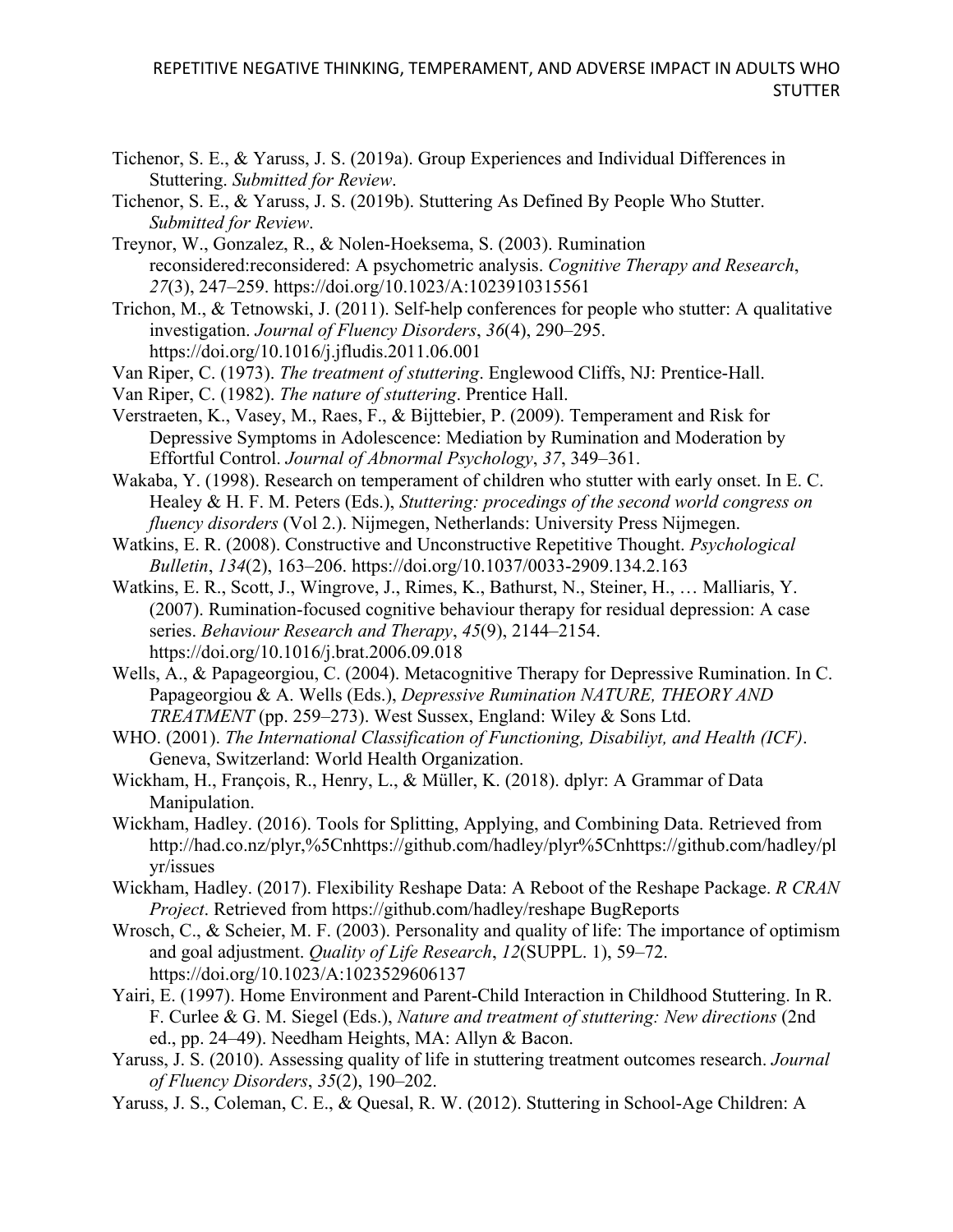- Tichenor, S. E., & Yaruss, J. S. (2019a). Group Experiences and Individual Differences in Stuttering. *Submitted for Review*.
- Tichenor, S. E., & Yaruss, J. S. (2019b). Stuttering As Defined By People Who Stutter. *Submitted for Review*.
- Treynor, W., Gonzalez, R., & Nolen-Hoeksema, S. (2003). Rumination reconsidered:reconsidered: A psychometric analysis. *Cognitive Therapy and Research*, *27*(3), 247–259. https://doi.org/10.1023/A:1023910315561
- Trichon, M., & Tetnowski, J. (2011). Self-help conferences for people who stutter: A qualitative investigation. *Journal of Fluency Disorders*, *36*(4), 290–295. https://doi.org/10.1016/j.jfludis.2011.06.001
- Van Riper, C. (1973). *The treatment of stuttering*. Englewood Cliffs, NJ: Prentice-Hall.
- Van Riper, C. (1982). *The nature of stuttering*. Prentice Hall.
- Verstraeten, K., Vasey, M., Raes, F., & Bijttebier, P. (2009). Temperament and Risk for Depressive Symptoms in Adolescence: Mediation by Rumination and Moderation by Effortful Control. *Journal of Abnormal Psychology*, *37*, 349–361.
- Wakaba, Y. (1998). Research on temperament of children who stutter with early onset. In E. C. Healey & H. F. M. Peters (Eds.), *Stuttering: procedings of the second world congress on fluency disorders* (Vol 2.). Nijmegen, Netherlands: University Press Nijmegen.
- Watkins, E. R. (2008). Constructive and Unconstructive Repetitive Thought. *Psychological Bulletin*, *134*(2), 163–206. https://doi.org/10.1037/0033-2909.134.2.163
- Watkins, E. R., Scott, J., Wingrove, J., Rimes, K., Bathurst, N., Steiner, H., … Malliaris, Y. (2007). Rumination-focused cognitive behaviour therapy for residual depression: A case series. *Behaviour Research and Therapy*, *45*(9), 2144–2154. https://doi.org/10.1016/j.brat.2006.09.018
- Wells, A., & Papageorgiou, C. (2004). Metacognitive Therapy for Depressive Rumination. In C. Papageorgiou & A. Wells (Eds.), *Depressive Rumination NATURE, THEORY AND TREATMENT* (pp. 259–273). West Sussex, England: Wiley & Sons Ltd.
- WHO. (2001). *The International Classification of Functioning, Disabiliyt, and Health (ICF)*. Geneva, Switzerland: World Health Organization.
- Wickham, H., François, R., Henry, L., & Müller, K. (2018). dplyr: A Grammar of Data Manipulation.
- Wickham, Hadley. (2016). Tools for Splitting, Applying, and Combining Data. Retrieved from http://had.co.nz/plyr,%5Cnhttps://github.com/hadley/plyr%5Cnhttps://github.com/hadley/pl yr/issues
- Wickham, Hadley. (2017). Flexibility Reshape Data: A Reboot of the Reshape Package. *R CRAN Project*. Retrieved from https://github.com/hadley/reshape BugReports
- Wrosch, C., & Scheier, M. F. (2003). Personality and quality of life: The importance of optimism and goal adjustment. *Quality of Life Research*, *12*(SUPPL. 1), 59–72. https://doi.org/10.1023/A:1023529606137
- Yairi, E. (1997). Home Environment and Parent-Child Interaction in Childhood Stuttering. In R. F. Curlee & G. M. Siegel (Eds.), *Nature and treatment of stuttering: New directions* (2nd ed., pp. 24–49). Needham Heights, MA: Allyn & Bacon.
- Yaruss, J. S. (2010). Assessing quality of life in stuttering treatment outcomes research. *Journal of Fluency Disorders*, *35*(2), 190–202.
- Yaruss, J. S., Coleman, C. E., & Quesal, R. W. (2012). Stuttering in School-Age Children: A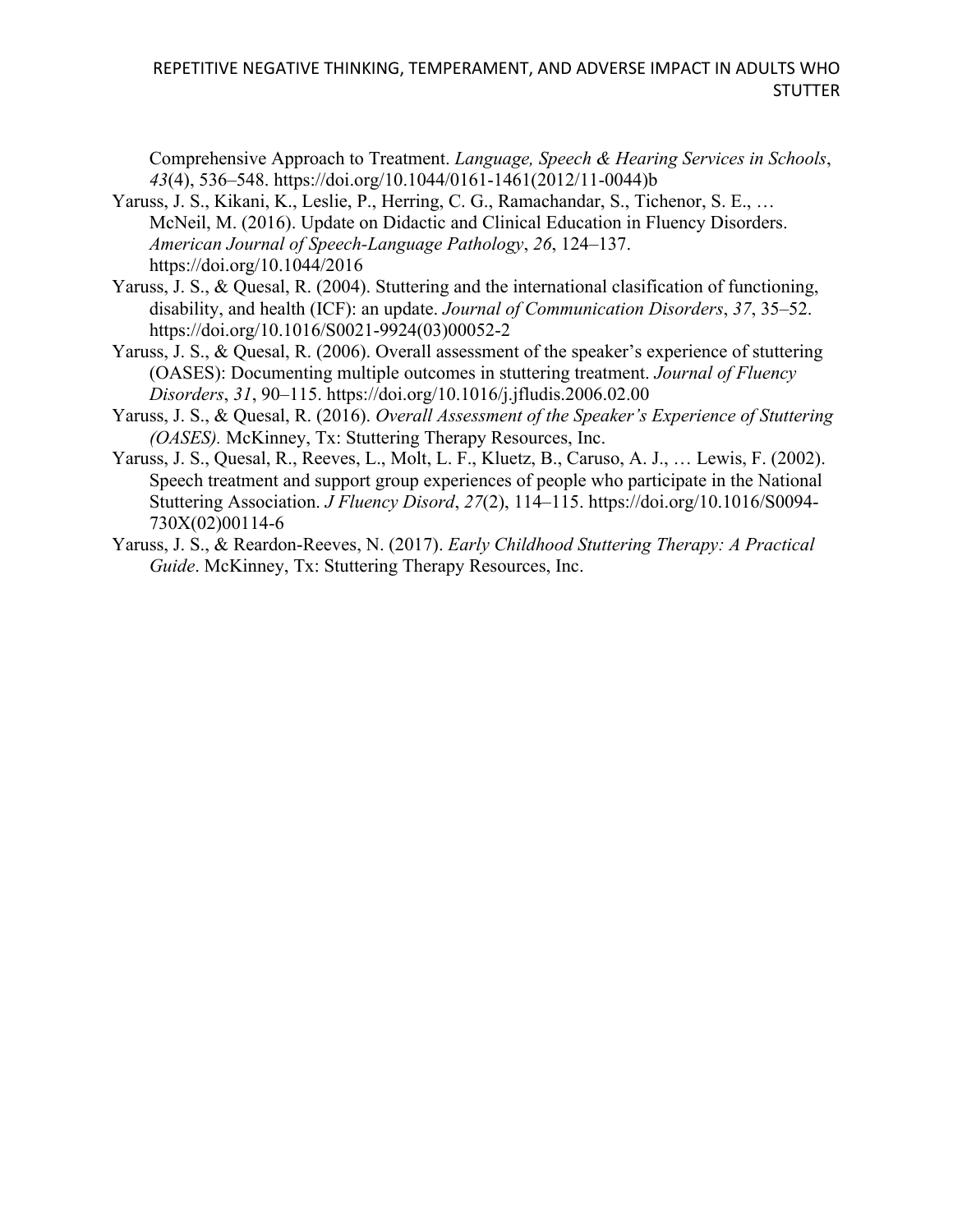Comprehensive Approach to Treatment. *Language, Speech & Hearing Services in Schools*, *43*(4), 536–548. https://doi.org/10.1044/0161-1461(2012/11-0044)b

- Yaruss, J. S., Kikani, K., Leslie, P., Herring, C. G., Ramachandar, S., Tichenor, S. E., … McNeil, M. (2016). Update on Didactic and Clinical Education in Fluency Disorders. *American Journal of Speech-Language Pathology*, *26*, 124–137. https://doi.org/10.1044/2016
- Yaruss, J. S., & Quesal, R. (2004). Stuttering and the international clasification of functioning, disability, and health (ICF): an update. *Journal of Communication Disorders*, *37*, 35–52. https://doi.org/10.1016/S0021-9924(03)00052-2
- Yaruss, J. S., & Quesal, R. (2006). Overall assessment of the speaker's experience of stuttering (OASES): Documenting multiple outcomes in stuttering treatment. *Journal of Fluency Disorders*, *31*, 90–115. https://doi.org/10.1016/j.jfludis.2006.02.00
- Yaruss, J. S., & Quesal, R. (2016). *Overall Assessment of the Speaker's Experience of Stuttering (OASES).* McKinney, Tx: Stuttering Therapy Resources, Inc.
- Yaruss, J. S., Quesal, R., Reeves, L., Molt, L. F., Kluetz, B., Caruso, A. J., … Lewis, F. (2002). Speech treatment and support group experiences of people who participate in the National Stuttering Association. *J Fluency Disord*, *27*(2), 114–115. https://doi.org/10.1016/S0094- 730X(02)00114-6
- Yaruss, J. S., & Reardon-Reeves, N. (2017). *Early Childhood Stuttering Therapy: A Practical Guide*. McKinney, Tx: Stuttering Therapy Resources, Inc.